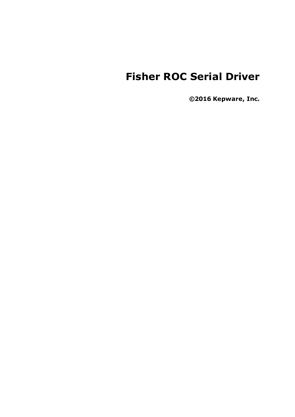# **Fisher ROC Serial Driver**

**©2016 Kepware, Inc.**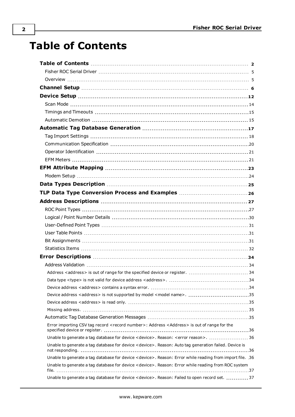# <span id="page-1-0"></span>**Table of Contents**

| Device address <address> is not supported by model <model name="">. 35</model></address>                        |  |
|-----------------------------------------------------------------------------------------------------------------|--|
|                                                                                                                 |  |
|                                                                                                                 |  |
|                                                                                                                 |  |
| Error importing CSV tag record <record number="">: Address <address> is out of range for the</address></record> |  |
| Unable to generate a tag database for device <device>. Reason: <error reason="">.  36</error></device>          |  |
| Unable to generate a tag database for device < device>. Reason: Auto tag generation failed. Device is           |  |
| Unable to generate a tag database for device < device >. Reason: Error while reading from import file. 36       |  |
| Unable to generate a tag database for device < device>. Reason: Error while reading from ROC system             |  |
| Unable to generate a tag database for device < device>. Reason: Failed to open record set. 37                   |  |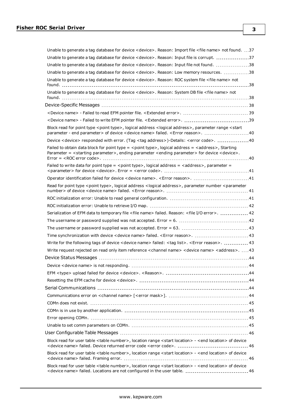| Unable to generate a tag database for device < device>. Reason: Import file < file name> not found. 37                                                                                                                                        |
|-----------------------------------------------------------------------------------------------------------------------------------------------------------------------------------------------------------------------------------------------|
| Unable to generate a tag database for device < device>. Reason: Input file is corrupt. 37                                                                                                                                                     |
| Unable to generate a tag database for device < device>. Reason: Input file not found. 38                                                                                                                                                      |
| Unable to generate a tag database for device < device>. Reason: Low memory resources. 38                                                                                                                                                      |
| Unable to generate a tag database for device < device>. Reason: ROC system file < file name> not                                                                                                                                              |
| Unable to generate a tag database for device < device >. Reason: System DB file < file name > not                                                                                                                                             |
|                                                                                                                                                                                                                                               |
|                                                                                                                                                                                                                                               |
|                                                                                                                                                                                                                                               |
| Block read for point type <point type="">, logical address <logical address="">, parameter range <start<br>parameter - end parameter &gt; of device &lt; device name &gt; failed. &lt; Error reason &gt;. 40</start<br></logical></point>     |
| Device <device> responded with error. (Tag <tag address="">)-Details: <error code="">. 40</error></tag></device>                                                                                                                              |
| Failed to obtain data block for point type = < point type>, logical address = <address>, Starting<br/>Parameter = <starting parameter="">, ending parameter <ending parameter=""> for device <device>.</device></ending></starting></address> |
| Failed to write data for point type = <point type="">, logical address = <address>, parameter =</address></point>                                                                                                                             |
| Operator identification failed for device <device name="">. <error reason="">. 41</error></device>                                                                                                                                            |
| Read for point type <point type="">, logical address <logical address="">, parameter number <parameter< td=""></parameter<></logical></point>                                                                                                 |
|                                                                                                                                                                                                                                               |
|                                                                                                                                                                                                                                               |
| Serialization of EFM data to temporary file <file name=""> failed. Reason: <file error="" i="" o="">.  42</file></file>                                                                                                                       |
|                                                                                                                                                                                                                                               |
|                                                                                                                                                                                                                                               |
|                                                                                                                                                                                                                                               |
| Write for the following tags of device < device name> failed: < tag list>. < Error reason>.  43                                                                                                                                               |
| Write request rejected on read only item reference <channel name=""> <device name=""> <address>. 43</address></device></channel>                                                                                                              |
|                                                                                                                                                                                                                                               |
|                                                                                                                                                                                                                                               |
|                                                                                                                                                                                                                                               |
|                                                                                                                                                                                                                                               |
|                                                                                                                                                                                                                                               |
|                                                                                                                                                                                                                                               |
|                                                                                                                                                                                                                                               |
|                                                                                                                                                                                                                                               |
|                                                                                                                                                                                                                                               |
|                                                                                                                                                                                                                                               |
|                                                                                                                                                                                                                                               |
| Block read for user table <table number="">, location range <start location=""> - <end location=""> of device</end></start></table>                                                                                                           |
| Block read for user table <table number="">, location range <start location=""> - <end location=""> of device</end></start></table>                                                                                                           |
| Block read for user table <table number="">, location range <start location=""> - <end location=""> of device</end></start></table>                                                                                                           |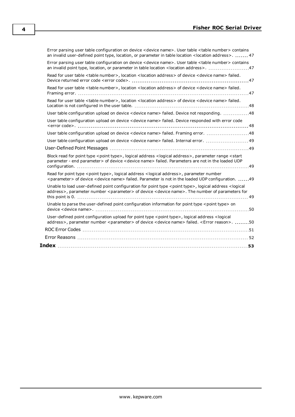| Error parsing user table configuration on device <device name="">. User table <table number=""> contains<br/>an invalid user-defined point type, location, or parameter in table location &lt; location address&gt;.  47</table></device>                |
|----------------------------------------------------------------------------------------------------------------------------------------------------------------------------------------------------------------------------------------------------------|
| Error parsing user table configuration on device <device name="">. User table <table number=""> contains</table></device>                                                                                                                                |
| Read for user table <table number="">, location <location address=""> of device <device name=""> failed.</device></location></table>                                                                                                                     |
| Read for user table <table number="">, location <location address=""> of device <device name=""> failed.</device></location></table>                                                                                                                     |
| Read for user table <table number="">, location <location address=""> of device <device name=""> failed.</device></location></table>                                                                                                                     |
| User table configuration upload on device <device name=""> failed. Device not responding. 48</device>                                                                                                                                                    |
| User table configuration upload on device <device name=""> failed. Device responded with error code</device>                                                                                                                                             |
| User table configuration upload on device <device name=""> failed. Framing error. 48</device>                                                                                                                                                            |
|                                                                                                                                                                                                                                                          |
|                                                                                                                                                                                                                                                          |
| Block read for point type <point type="">, logical address <logical address="">, parameter range <start<br>parameter - end parameter&gt; of device &lt; device name&gt; failed. Parameters are not in the loaded UDP</start<br></logical></point>        |
| Read for point type <point type="">, logical address <logical address="">, parameter number<br/><parameter> of device <device name=""> failed. Parameter is not in the loaded UDP configuration. 49</device></parameter></logical></point>               |
| Unable to load user-defined point configuration for point type <point type="">, logical address <logical<br>address&gt;, parameter number <parameter> of device <device name="">. The number of parameters for</device></parameter></logical<br></point> |
| Unable to parse the user-defined point configuration information for point type < point type> on                                                                                                                                                         |
| User-defined point configuration upload for point type <point type="">, logical address <logical<br>address&gt;, parameter number <parameter> of device <device name=""> failed. <error reason="">. 50</error></device></parameter></logical<br></point> |
|                                                                                                                                                                                                                                                          |
|                                                                                                                                                                                                                                                          |
|                                                                                                                                                                                                                                                          |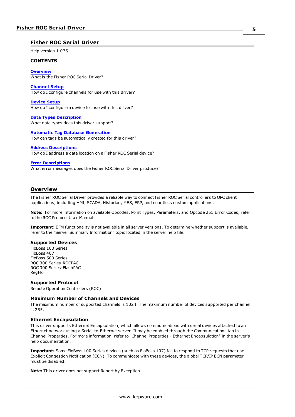#### <span id="page-4-0"></span>**Fisher ROC Serial Driver**

Help version 1.075

#### **CONTENTS**

**[Overview](#page-4-1)** What is the Fisher ROC Serial Driver?

**[Channel](#page-5-0) Setup** How do I configure channels for use with this driver?

**[Device](#page-11-0) Setup** How do I configure a device for use with this driver?

**Data Types [Description](#page-24-0)** What data types does this driver support?

**Automatic Tag Database [Generation](#page-16-0)** How can tags be automatically created for this driver?

#### **Address [Descriptions](#page-26-0)**

How do I address a data location on a Fisher ROC Serial device?

#### **Error [Descriptions](#page-33-0)**

What error messages does the Fisher ROC Serial Driver produce?

### <span id="page-4-1"></span>**Overview**

The Fisher ROC Serial Driver provides a reliable way to connect Fisher ROC Serial controllers to OPC client applications, including HMI, SCADA, Historian, MES, ERP, and countless custom applications.

**Note:** For more information on available Opcodes, Point Types, Parameters, and Opcode 255 Error Codes, refer to the ROC Protocol User Manual.

**Important:** EFM functionality is not available in all server versions. To determine whether support is available, refer to the "Server Summary Information" topic located in the server help file.

#### **Supported Devices**

FloBoss 100 Series FloBoss 407 FloBoss 500 Series ROC 300 Series-ROCPAC ROC 300 Series-FlashPAC RegFlo

#### **Supported Protocol**

Remote Operation Controllers (ROC)

#### **Maximum Number of Channels and Devices**

The maximum number of supported channels is 1024. The maximum number of devices supported per channel is 255.

#### **Ethernet Encapsulation**

This driver supports Ethernet Encapsulation, which allows communications with serial devices attached to an Ethernet network using a Serial-to-Ethernet server. It may be enabled through the Communications tab in Channel Properties. For more information, refer to "Channel Properties - Ethernet Encapsulation" in the server's help documentation.

**Important:** Some FloBoss 100 Series devices (such as FloBoss 107) fail to respond to TCP requests that use Explicit Congestion Notification (ECN). To communicate with these devices, the global TCP/IP ECN parameter must be disabled.

**Note:** This driver does not support Report by Exception.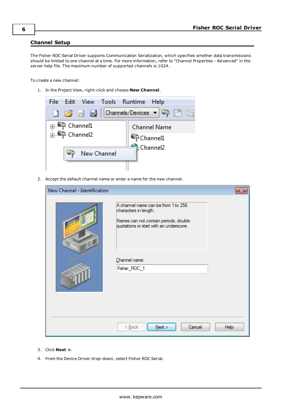#### <span id="page-5-0"></span>**Channel Setup**

The Fisher ROC Serial Driver supports Communication Serialization, which specifies whether data transmissions should be limited to one channel at a time. For more information, refer to "Channel Properties - Advanced" in the server help file. The maximum number of supported channels is 1024.

To create a new channel:

1. In the Project View, right-click and choose **New Channel**.



2. Accept the default channel name or enter a name for the new channel.

| New Channel - Identification |                                                                                                                                                  | 23          |
|------------------------------|--------------------------------------------------------------------------------------------------------------------------------------------------|-------------|
| 9                            | A channel name can be from 1 to 256<br>characters in length.<br>Names can not contain periods, double<br>quotations or start with an underscore. |             |
|                              | Channel name:<br>Fisher_ROC_1                                                                                                                    |             |
|                              | Cancel<br>$<$ Back<br>Next                                                                                                                       | <b>Help</b> |

- 3. Click **Next >**.
- 4. From the Device Driver drop-down, select Fisher ROC Serial.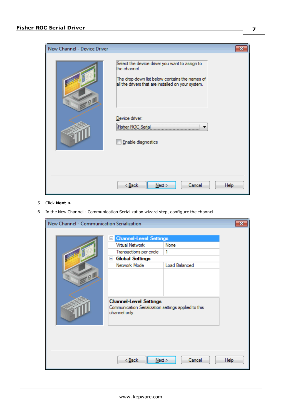| New Channel - Device Driver | x                                                                                                                                                                      |
|-----------------------------|------------------------------------------------------------------------------------------------------------------------------------------------------------------------|
| οI                          | Select the device driver you want to assign to<br>the channel.<br>The drop-down list below contains the names of<br>all the drivers that are installed on your system. |
|                             | Device driver:<br>Fisher ROC Serial<br>Enable diagnostics                                                                                                              |
|                             | Cancel<br>$<$ Back<br>Help<br>Next                                                                                                                                     |

- 5. Click **Next >**.
- 6. In the New Channel Communication Serialization wizard step, configure the channel.

| New Channel - Communication Serialization |                                                                                                                                                         |                                   |             |
|-------------------------------------------|---------------------------------------------------------------------------------------------------------------------------------------------------------|-----------------------------------|-------------|
|                                           | <b>Channel-Level Settings</b><br>$\mathord{\text{--}}$<br>Virtual Network<br>Transactions per cycle<br><b>Global Settings</b><br>$\Box$<br>Network Mode | None<br>1<br><b>Load Balanced</b> |             |
|                                           | <b>Channel-Level Settings</b><br>Communication Serialization settings applied to this<br>channel only.                                                  |                                   |             |
|                                           | $Back$<br>Next                                                                                                                                          | Cancel                            | <b>Help</b> |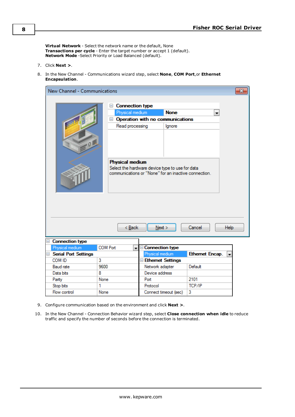**Virtual Network** - Select the network name or the default, None **Transactions per cycle** - Enter the target number or accept 1 (default). **Network Mode** -Select Priority or Load Balanced (default).

- 7. Click **Next >**.
- 8. In the New Channel Communications wizard step, select **None**, **COM Port**,or **Ethernet Encapsulation**.

| New Channel - Communications       |                                                                                                         |                                                                                                                                                                              |                 | 23          |
|------------------------------------|---------------------------------------------------------------------------------------------------------|------------------------------------------------------------------------------------------------------------------------------------------------------------------------------|-----------------|-------------|
|                                    | <b>Connection type</b><br>$-$<br>Physical medium<br>$=$<br>Read processing<br>Physical medium<br>< Back | <b>None</b><br>Operation with no communications<br>Ignore<br>Select the hardware device type to use for data<br>communications or "None" for an inactive connection.<br>Next | ×<br>Cancel     | <b>Help</b> |
| <b>Connection type</b><br>$\equiv$ |                                                                                                         |                                                                                                                                                                              |                 |             |
| Physical medium                    | <b>COM Port</b><br>۰                                                                                    | Connection type                                                                                                                                                              |                 |             |
| □ Serial Port Settings             |                                                                                                         | Physical medium                                                                                                                                                              | Ethernet Encap. |             |
| COM ID                             | 3                                                                                                       | <b>E</b> Ethernet Settings                                                                                                                                                   |                 |             |
| <b>Baud</b> rate                   | 9600                                                                                                    | Network adapter                                                                                                                                                              | Default         |             |
| Data bits                          | 8                                                                                                       | Device address                                                                                                                                                               |                 |             |
| Parity                             | None                                                                                                    | Port                                                                                                                                                                         | 2101            |             |
| Stop bits                          | 1                                                                                                       | Protocol                                                                                                                                                                     | TCP/IP          |             |

9. Configure communication based on the environment and click **Next >**.

None

Flow control

10. In the New Channel - Connection Behavior wizard step, select **Close connection when idle** to reduce traffic and specify the number of seconds before the connection is terminated.

Connect timeout (sec)

 $\vert$ 3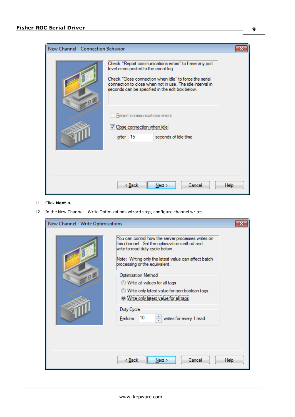| New Channel - Connection Behavior |                                                                                                                                                                                                                                                                          | x |
|-----------------------------------|--------------------------------------------------------------------------------------------------------------------------------------------------------------------------------------------------------------------------------------------------------------------------|---|
| Q, B                              | Check "Report communications errors" to have any port<br>level errors posted to the event log.<br>Check "Close connection when idle" to force the serial<br>connection to close when not in use. The idle interval in<br>seconds can be specified in the edit box below. |   |
|                                   | Report communications errors<br>Close connection when idle<br>15<br>seconds of idle time<br>after                                                                                                                                                                        |   |
|                                   | Cancel<br>$<$ Back<br>Next<br><b>Help</b>                                                                                                                                                                                                                                |   |

- 11. Click **Next >**.
- 12. In the New Channel Write Optimizations wizard step, configure channel writes.

| New Channel - Write Optimizations |                                                                                                                                                                                                                                                                                                                                                                                                                                                         |  |
|-----------------------------------|---------------------------------------------------------------------------------------------------------------------------------------------------------------------------------------------------------------------------------------------------------------------------------------------------------------------------------------------------------------------------------------------------------------------------------------------------------|--|
| Q                                 | You can control how the server processes writes on<br>this channel. Set the optimization method and<br>write-to-read duty cycle below.<br>Note: Writing only the latest value can affect batch<br>processing or the equivalent.<br><b>Optimization Method</b><br>Write all values for all tags<br>Write only latest value for non-boolean tags<br>O Write only latest value for all tags<br>Duty Cycle<br>10<br>÷<br>writes for every 1 read<br>Perform |  |
|                                   | Cancel<br>< <u>B</u> ack<br>Next<br><b>Help</b>                                                                                                                                                                                                                                                                                                                                                                                                         |  |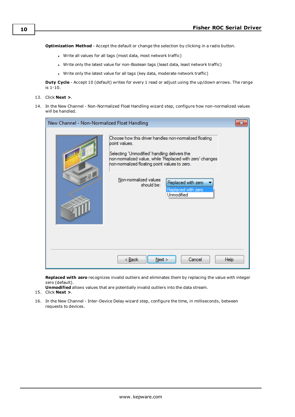**Optimization Method** - Accept the default or change the selection by clicking in a radio button.

- Write all values for all tags (most data, most network traffic)
- Write only the latest value for non-Boolean tags (least data, least network traffic)
- Write only the latest value for all tags (key data, moderate network traffic)

**Duty Cycle** - Accept 10 (default) writes for every 1 read or adjust using the up/down arrows. The range is 1-10.

- 13. Click **Next >**.
- 14. In the New Channel Non-Normalized Float Handling wizard step, configure how non-normalized values will be handled.

| New Channel - Non-Normalized Float Handling |                                                                                                                                                                                                                                      |  |
|---------------------------------------------|--------------------------------------------------------------------------------------------------------------------------------------------------------------------------------------------------------------------------------------|--|
|                                             | Choose how this driver handles non-normalized floating<br>boint values.<br>Selecting 'Unmodified' handling delivers the<br>non-normalized value, while 'Replaced with zero' changes<br>non-normalized floating point values to zero. |  |
| Q                                           | Non-normalized values<br>Replaced with zero<br>should be:<br>Replaced with zero<br>Unmodified                                                                                                                                        |  |
|                                             | $<$ Back<br>Next<br>Cancel<br><b>Help</b>                                                                                                                                                                                            |  |

**Replaced with zero** recognizes invalid outliers and eliminates them by replacing the value with integer zero (default).

**Unmodified** allows values that are potentially invalid outliers into the data stream.

- 15. Click **Next >**.
- 16. In the New Channel Inter-Device Delay wizard step, configure the time, in milliseconds, between requests to devices.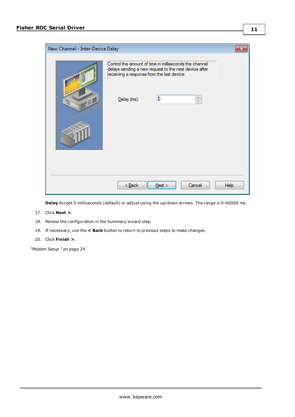| New Channel - Inter-Device Delay |                                            |                                                                                                                 | ж           |
|----------------------------------|--------------------------------------------|-----------------------------------------------------------------------------------------------------------------|-------------|
|                                  | receiving a response from the last device. | Control the amount of time in milliseconds the channel<br>delays sending a new request to the next device after |             |
| οB                               | Delay (ms):                                | þ<br>÷                                                                                                          |             |
|                                  |                                            |                                                                                                                 |             |
|                                  |                                            |                                                                                                                 |             |
|                                  | $<$ Back                                   | Cancel<br>Next                                                                                                  | <b>Help</b> |

**Delay** Accept 0 milliseconds (default) or adjust using the up/down arrows. The range is 0-60000 ms.

- 17. Click **Next >**.
- 18. Review the configuration in the Summary wizard step.
- 19. If necessary, use the **< Back** button to return to previous steps to make changes.

#### 20. Click **Finish >**.

*["Modem](#page-23-0) Setup " on page 24*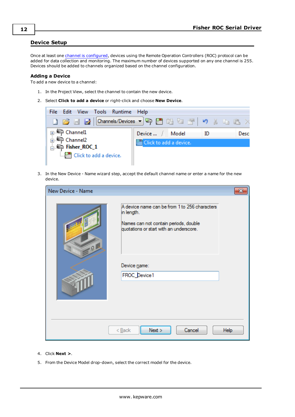### <span id="page-11-0"></span>**Device Setup**

Once at least one channel is [configured,](#page-5-0) devices using the Remote Operation Controllers (ROC) protocol can be added for data collection and monitoring. The maximum number of devices supported on any one channel is 255. Devices should be added to channels organized based on the channel configuration.

#### **Adding a Device**

To add a new device to a channel:

- 1. In the Project View, select the channel to contain the new device.
- 2. Select **Click to add a device** or right-click and choose **New Device**.



3. In the New Device - Name wizard step, accept the default channel name or enter a name for the new device.

| New Device - Name |                                                                                                                                                                                 | $\overline{\mathbf{x}}$ |
|-------------------|---------------------------------------------------------------------------------------------------------------------------------------------------------------------------------|-------------------------|
| $-9$              | A device name can be from 1 to 256 characters<br>in length.<br>Names can not contain periods, double<br>quotations or start with an underscore.<br>Device name:<br>FROC_Device1 |                         |
|                   | Next<br>Cancel<br>$<$ Back                                                                                                                                                      | Help                    |

- 4. Click **Next >**.
- 5. From the Device Model drop-down, select the correct model for the device.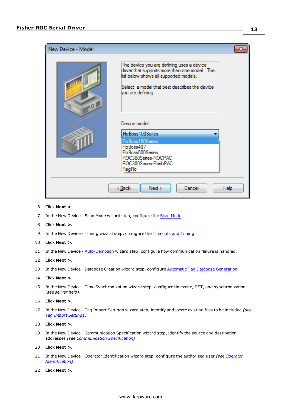

- 6. Click **Next >**.
- 7. In the New Device Scan Mode wizard step, configure the Scan [Mode](#page-13-0).
- 8. Click **Next >**.
- 9. In the New Device Timing wizard step, configure the [Timeouts](#page-14-0) and Timing.
- 10. Click **Next >**.
- 11. In the New Device [Auto-Demotion](#page-14-1) wizard step, configure how communication failure is handled.
- 12. Click **Next >**.
- 13. In the New Device Database Creation wizard step, configure Automatic Tag Database [Generation](#page-16-0).
- 14. Click **Next >**.
- 15. In the New Device Time Synchronization wizard step, configure timezone, DST, and synchronization *(see server help)*.
- 16. Click **Next >**.
- 17. In the New Device Tag Import Settings wizard step, identify and locate existing files to be included *(see Tag Import [Settings](#page-17-0))*
- 18. Click **Next >**.
- 19. In the New Device Communication Specification wizard step, identify the source and destination addresses *(see [Communication](#page-19-0) Specification)*.
- 20. Click **Next >**.
- 21. In the New Device Operator Identification wizard step, configure the authorized user *(see [Operator](#page-20-0) [Identification](#page-20-0))*.
- 22. Click **Next >**.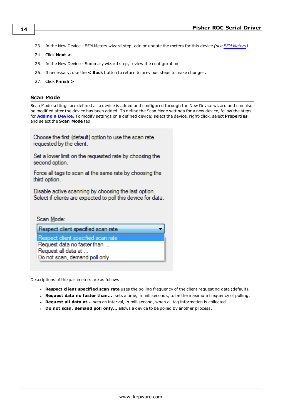- 23. In the New Device EFM Meters wizard step, add or update the meters for this device *(see EFM [Meters](#page-20-1))*.
- 24. Click **Next >**.
- 25. In the New Device Summary wizard step, review the configuration.
- 26. If necessary, use the **< Back** button to return to previous steps to make changes.
- 27. Click **Finish >**.

#### <span id="page-13-0"></span>**Scan Mode**

Scan Mode settings are defined as a device is added and configured through the New Device wizard and can also be modified after the device has been added. To define the Scan Mode settings for a new device, follow the steps for **[Adding](#page-11-0) a Device**. To modify settings on a defined device; select the device, right-click, select **Properties**, and select the **Scan Mode** tab.

Choose the first (default) option to use the scan rate requested by the client.

Set a lower limit on the requested rate by choosing the second option.

Force all tags to scan at the same rate by choosing the third option.

Disable active scanning by choosing the last option. Select if clients are expected to poll this device for data.

Scan Mode: Respect client specified scan rate Respect client specified scan rate Request data no faster than ... Request all data at ... Do not scan, demand poll only

Descriptions of the parameters are as follows:

- <sup>l</sup> **Respect client specified scan rate** uses the polling frequency of the client requesting data (default).
- <sup>l</sup> **Request data no faster than...** sets a time, in milliseconds, to be the maximum frequency of polling.
- <sup>l</sup> **Request all data at...** sets an interval, in millisecond, when all tag information is collected.
- <sup>l</sup> **Do not scan, demand poll only...** allows a device to be polled by another process.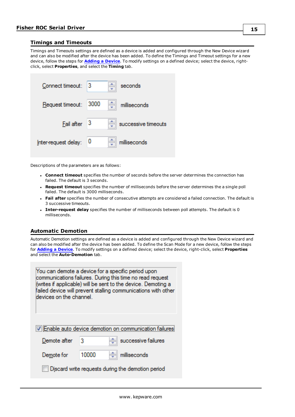#### <span id="page-14-0"></span>**Timings and Timeouts**

Timings and Timeouts settings are defined as a device is added and configured through the New Device wizard and can also be modified after the device has been added. To define the Timings and Timeout settings for a new device, follow the steps for **[Adding](#page-11-0) a Device**. To modify settings on a defined device; select the device, rightclick, select **Properties**, and select the **Timing** tab.

| Connect timeout: 3    | seconds             |
|-----------------------|---------------------|
| Request timeout: 3000 | milliseconds        |
| $Final$ after $3$     | successive timeouts |
| Inter-request delay:  | milliseconds        |

Descriptions of the parameters are as follows:

- <sup>l</sup> **Connect timeout** specifies the number of seconds before the server determines the connection has failed. The default is 3 seconds.
- <sup>l</sup> **Request timeout** specifies the number of milliseconds before the server determines the a single poll failed. The default is 3000 milliseconds.
- **Fail after** specifies the number of consecutive attempts are considered a failed connection. The default is 3 successive timeouts.
- <sup>l</sup> **Inter-request delay** specifies the number of milliseconds between poll attempts. The default is 0 milliseconds.

## <span id="page-14-1"></span>**Automatic Demotion**

Automatic Demotion settings are defined as a device is added and configured through the New Device wizard and can also be modified after the device has been added. To define the Scan Mode for a new device, follow the steps for **[Adding](#page-11-0) a Device**. To modify settings on a defined device; select the device, right-click, select **Properties** and select the **Auto-Demotion** tab.

| You can demote a device for a specific period upon<br>communications failures. During this time no read request<br>(writes if applicable) will be sent to the device. Demoting a<br>failed device will prevent stalling communications with other<br>devices on the channel. |       |                     |  |
|------------------------------------------------------------------------------------------------------------------------------------------------------------------------------------------------------------------------------------------------------------------------------|-------|---------------------|--|
| V Enable auto device demotion on communication failures!                                                                                                                                                                                                                     |       |                     |  |
| Demote after                                                                                                                                                                                                                                                                 | 3     | successive failures |  |
| Demote for                                                                                                                                                                                                                                                                   | 10000 | milliseconds        |  |
| Discard write requests during the demotion period                                                                                                                                                                                                                            |       |                     |  |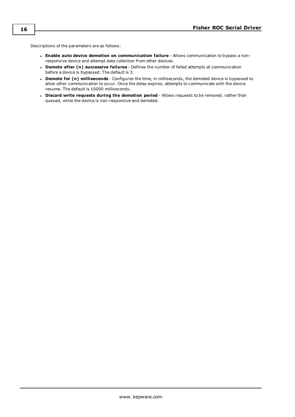Descriptions of the parameters are as follows:

- <sup>l</sup> **Enable auto device demotion on communication failure** Allows communication to bypass a nonresponsive device and attempt data collection from other devices.
- <sup>l</sup> **Demote after (n) successive failures** Defines the number of failed attempts at communication before a device is bypassed. The default is 3.
- <sup>l</sup> **Demote for (n) milliseconds** Configures the time, in milliseconds, the demoted device is bypassed to allow other communication to occur. Once the delay expires, attempts to communicate with the device resume. The default is 10000 milliseconds.
- <sup>l</sup> **Discard write requests during the demotion period** Allows requests to be removed, rather than queued, while the device is non-responsive and demoted.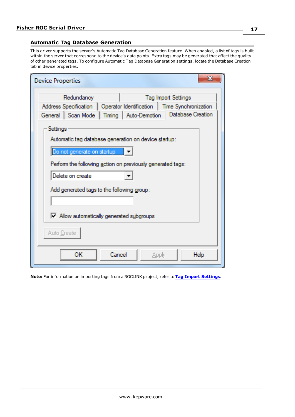### <span id="page-16-0"></span>**Automatic Tag Database Generation**

This driver supports the server's Automatic Tag Database Generation feature. When enabled, a list of tags is built within the server that correspond to the device's data points. Extra tags may be generated that affect the quality of other generated tags. To configure Automatic Tag Database Generation settings, locate the Database Creation tab in device properties.

| x<br><b>Device Properties</b>                                                                                                                                                                                                  |  |  |
|--------------------------------------------------------------------------------------------------------------------------------------------------------------------------------------------------------------------------------|--|--|
| Redundancy<br><b>Tag Import Settings</b><br>Address Specification   Operator Identification   Time Synchronization<br>Database Creation<br>General   Scan Mode   Timing   Auto-Demotion                                        |  |  |
| Settings<br>Automatic tag database generation on device startup:<br>Do not generate on startup<br>Perform the following action on previously generated tags:<br>Delete on create<br>Add generated tags to the following group: |  |  |
| Mow automatically generated subgroups<br>Auto Create<br>ОΚ<br>Cancel<br>Help<br>Apply                                                                                                                                          |  |  |

**Note:** For information on importing tags from a ROCLINK project, refer to **Tag Import [Settings](#page-17-0)**.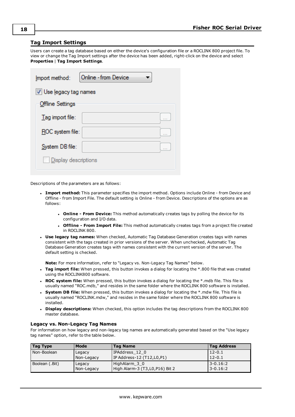#### <span id="page-17-0"></span>**Tag Import Settings**

Users can create a tag database based on either the device's configuration file or a ROCLINK 800 project file. To view or change the Tag Import settings after the device has been added, right-click on the device and select **Properties** | **Tag Import Settings**.

| Online - from Device<br>Import method: |   |  |
|----------------------------------------|---|--|
| V Use legacy tag names                 |   |  |
| <b>Offline Settings</b>                |   |  |
| Tag import file:                       | . |  |
| ROC system file:                       |   |  |
| System DB file:                        |   |  |
| Display descriptions                   |   |  |

Descriptions of the parameters are as follows:

- <sup>l</sup> **Import method:** This parameter specifies the import method. Options include Online from Device and Offline - from Import File. The default setting is Online - from Device. Descriptions of the options are as follows:
	- <sup>l</sup> **Online - From Device:** This method automatically creates tags by polling the device for its configuration and I/O data.
	- <sup>l</sup> **Offline - From Import File:** This method automatically creates tags from a project file created in ROCLINK 800.
- <sup>l</sup> **Use legacy tag names:** When checked, Automatic Tag Database Generation creates tags with names consistent with the tags created in prior versions of the server. When unchecked, Automatic Tag Database Generation creates tags with names consistent with the current version of the server. The default setting is checked.

**Note:** For more information, refer to "Legacy vs. Non-Legacy Tag Names" below.

- <sup>l</sup> **Tag import file:** When pressed, this button invokes a dialog for locating the \*.800 file that was created using the ROCLINK800 software.
- <sup>l</sup> **ROC system file:** When pressed, this button invokes a dialog for locating the \*.mdb file. This file is usually named "ROC.mdb," and resides in the same folder where the ROCLINK 800 software is installed.
- **.** System DB file: When pressed, this button invokes a dialog for locating the \*.mdw file. This file is usually named "ROCLINK.mdw," and resides in the same folder where the ROCLINK 800 software is installed.
- **.** Display descriptions: When checked, this option includes the tag descriptions from the ROCLINK 800 master database.

#### **Legacy vs. Non-Legacy Tag Names**

For information on how legacy and non-legacy tag names are automatically generated based on the "Use legacy tag names" option, refer to the table below.

| Tag Type                 | Mode       | <b>Tag Name</b>                | <b>Tag Address</b> |
|--------------------------|------------|--------------------------------|--------------------|
| Non-Boolean              | Legacy     | IPAddress 12 0                 | $12 - 0.1$         |
|                          | Non-Legacy | IP Address-12 (T12,L0,P1)      | $12 - 0.1$         |
| Boolean (.Bit)<br>Legacy |            | HighAlarm 3 0                  | $3 - 0.16:2$       |
|                          | Non-Legacy | High Alarm-3 (T3,L0,P16) Bit 2 | $3 - 0.16:2$       |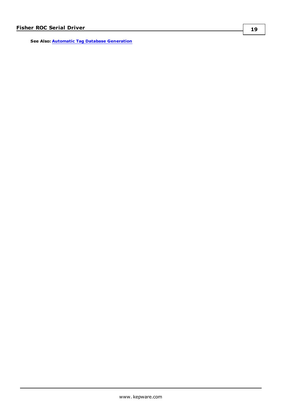**See Also: Automatic Tag Database [Generation](#page-16-0)**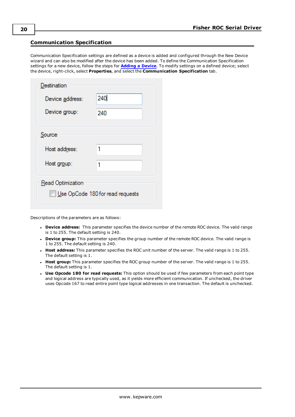## <span id="page-19-0"></span>**Communication Specification**

Communication Specification settings are defined as a device is added and configured through the New Device wizard and can also be modified after the device has been added. To define the Communication Specification settings for a new device, follow the steps for **[Adding](#page-11-0) a Device**. To modify settings on a defined device; select the device, right-click, select **Properties**, and select the **Communication Specification** tab.

| Destination                                           |     |  |
|-------------------------------------------------------|-----|--|
| Device address:                                       | 240 |  |
| Device group:                                         | 240 |  |
|                                                       |     |  |
| Source                                                |     |  |
| Host address:                                         | 1   |  |
| Host group:                                           | 1   |  |
| Read Optimization<br>Use OpCode 180 for read requests |     |  |

Descriptions of the parameters are as follows:

- **.** Device address: This parameter specifies the device number of the remote ROC device. The valid range is 1 to 255. The default setting is 240.
- **Device group:** This parameter specifies the group number of the remote ROC device. The valid range is 1 to 255. The default setting is 240.
- **Host address:** This parameter specifies the ROC unit number of the server. The valid range is 1 to 255. The default setting is 1.
- **Host group:** This parameter specifies the ROC group number of the server. The valid range is 1 to 255. The default setting is 1.
- **· Use Opcode 180 for read requests:** This option should be used if few parameters from each point type and logical address are typically used, as it yields more efficient communication. If unchecked, the driver uses Opcode 167 to read entire point type logical addresses in one transaction. The default is unchecked.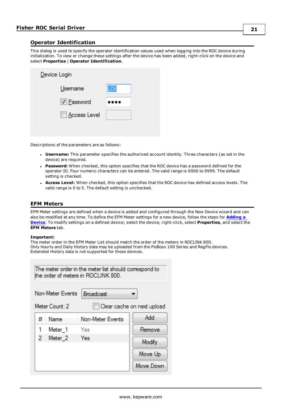## <span id="page-20-0"></span>**Operator Identification**

This dialog is used to specify the operator identification values used when logging into the ROC device during initialization. To view or change these settings after the device has been added, right-click on the device and select **Properties** | **Operator Identification**.

| Device Login |     |
|--------------|-----|
| Usemame      | LOI |
| V Password   |     |
| Access Level |     |
|              |     |

Descriptions of the parameters are as follows:

- **· Username:** This parameter specifies the authorized account identity. Three characters (as set in the device) are required.
- **Password:** When checked, this option specifies that the ROC device has a password defined for the operator ID. Four numeric characters can be entered. The valid range is 0000 to 9999. The default setting is checked.
- **Access Level:** When checked, this option specifies that the ROC device has defined access levels. The valid range is 0 to 5. The default setting is unchecked.

#### <span id="page-20-1"></span>**EFM Meters**

EFM Meter settings are defined when a device is added and configured through the New Device wizard and can also be modified at any time. To define the EFM Meter settings for a new device, follow the steps for **[Adding](#page-11-0) a [Device](#page-11-0)**. To modify settings on a defined device; select the device, right-click, select **Properties**, and select the **EFM Meters** tab.

#### **Important:**

The meter order in the EFM Meter List should match the order of the meters in ROCLINK 800. Only Hourly and Daily History data may be uploaded from the FloBoss 100 Series and RegFlo devices. Extended History data is not supported for those devices.

| The meter order in the meter list should correspond to<br>the order of meters in ROCLINK 800. |                    |                  |           |  |
|-----------------------------------------------------------------------------------------------|--------------------|------------------|-----------|--|
| Non-Meter Events<br><b>Broadcast</b>                                                          |                    |                  |           |  |
| Meter Count: 2<br>Clear cache on next upload                                                  |                    |                  |           |  |
| #                                                                                             | Name               | Non-Meter Events | Add       |  |
|                                                                                               | Meter <sub>1</sub> | Yes              | Remove    |  |
| 2                                                                                             | Meter <sub>2</sub> | Yes<br>Modify    |           |  |
|                                                                                               |                    |                  | Move Up   |  |
|                                                                                               |                    |                  | Move Down |  |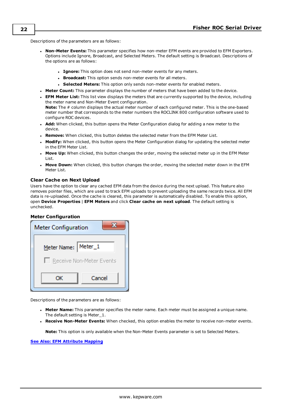Descriptions of the parameters are as follows:

- <sup>l</sup> **Non-Meter Events:** This parameter specifies how non-meter EFM events are provided to EFM Exporters. Options include Ignore, Broadcast, and Selected Meters. The default setting is Broadcast. Descriptions of the options are as follows:
	- **Ignore:** This option does not send non-meter events for any meters.
	- **Broadcast:** This option sends non-meter events for all meters.
	- **.** Selected Meters: This option only sends non-meter events for enabled meters.
- **Meter Count:** This parameter displays the number of meters that have been added to the device.
- <sup>l</sup> **EFM Meter List:** This list view displays the meters that are currently supported by the device, including the meter name and Non-Meter Event configuration.

**Note:** The # column displays the actual meter number of each configured meter. This is the one-based meter number that corresponds to the meter numbers the ROCLINK 800 configuration software used to configure ROC devices.

- **Add:** When clicked, this button opens the Meter Configuration dialog for adding a new meter to the device.
- **Remove:** When clicked, this button deletes the selected meter from the EFM Meter List.
- **Modify:** When clicked, this button opens the Meter Configuration dialog for updating the selected meter in the EFM Meter List.
- **Move Up:** When clicked, this button changes the order, moving the selected meter up in the EFM Meter List.
- **Move Down:** When clicked, this button changes the order, moving the selected meter down in the EFM Meter List.

#### **Clear Cache on Next Upload**

Users have the option to clear any cached EFM data from the device during the next upload. This feature also removes pointer files, which are used to track EFM uploads to prevent uploading the same records twice. All EFM data is re-uploaded. Once the cache is cleared, this parameter is automatically disabled. To enable this option, open **Device Properties** | **EFM Meters** and click **Clear cache on next upload**. The default setting is unchecked.

#### **Meter Configuration**



Descriptions of the parameters are as follows:

- **Meter Name:** This parameter specifies the meter name. Each meter must be assigned a unique name. The default setting is Meter\_1.
- <sup>l</sup> **Receive Non-Meter Events:** When checked, this option enables the meter to receive non-meter events.

**Note:** This option is only available when the Non-Meter Events parameter is set to Selected Meters.

#### **See Also: EFM [Attribute](#page-22-0) Mapping**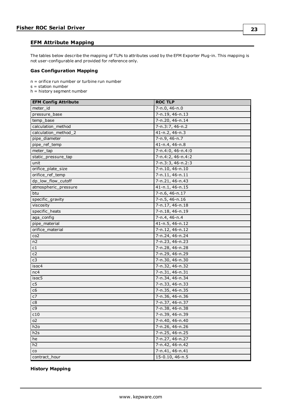## <span id="page-22-0"></span>**EFM Attribute Mapping**

The tables below describe the mapping of TLPs to attributes used by the EFM Exporter Plug-in. This mapping is not user-configurable and provided for reference only.

#### **Gas Configuration Mapping**

n = orifice run number or turbine run number

 $s =$  station number

h = history segment number

| <b>EFM Config Attribute</b> | <b>ROC TLP</b>      |
|-----------------------------|---------------------|
| meter_id                    | 7-n.0, 46-n.0       |
| pressure_base               | 7-n.19, 46-n.13     |
| temp base                   | 7-n.20, 46-n.14     |
| calculation method          | 7-n.3:7, 46-n.2     |
| calculation method 2        | 41-n.2, 46-n.3      |
| pipe_diameter               | 7-n.9, 46-n.7       |
| pipe_ref_temp               | 41-n.4, 46-n.8      |
| meter_tap                   | 7-n.4:0, 46-n.4:0   |
| static_pressure_tap         | 7-n.4:2, 46-n.4:2   |
| unit                        | 7-n.3:3, 46-n.2:3   |
| orifice_plate_size          | 7-n.10, 46-n.10     |
| orifice_ref_temp            | 7-n.11, 46-n.11     |
| dp_low_flow_cutoff          | 7-n.21, 46-n.43     |
| atmospheric_pressure        | 41-n.1, 46-n.15     |
| btu                         | 7-n.6, 46-n.17      |
| specific_gravity            | 7-n.5, 46-n.16      |
| viscosity                   | 7-n.17, 46-n.18     |
| specific_heats              | 7-n.18, 46-n.19     |
| aga_config                  | $7 - n.4, 46 - n.4$ |
| pipe_material               | 41-n.5, 46-n.12     |
| orifice_material            | 7-n.12, 46-n.12     |
| co2                         | 7-n.24, 46-n.24     |
| n2                          | 7-n.23, 46-n.23     |
| c1                          | 7-n.28, 46-n.28     |
| c2                          | 7-n.29, 46-n.29     |
| c3                          | 7-n.30, 46-n.30     |
| isoc4                       | 7-n.32, 46-n.32     |
| nc4                         | 7-n.31, 46-n.31     |
| isoc5                       | 7-n.34, 46-n.34     |
| c5                          | 7-n.33, 46-n.33     |
| c6                          | 7-n.35, 46-n.35     |
| c7                          | 7-n.36, 46-n.36     |
| c8                          | 7-n.37, 46-n.37     |
| c9                          | 7-n.38, 46-n.38     |
| c10                         | 7-n.39, 46-n.39     |
| o2                          | 7-n.40, 46-n.40     |
| h <sub>2</sub> o            | 7-n.26, 46-n.26     |
| h2s                         | 7-n.25, 46-n.25     |
| he                          | 7-n.27, 46-n.27     |
| h2                          | 7-n.42, 46-n.42     |
| $\mathsf{co}$               | 7-n.41, 46-n.41     |
| contract_hour               | $15-0.10, 46-n.5$   |

#### **History Mapping**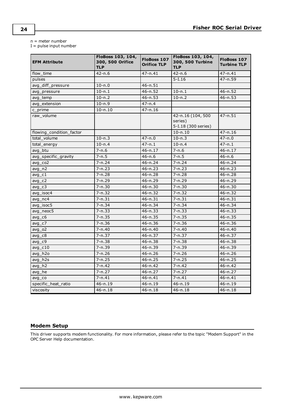n = meter number

I = pulse input number

| <b>EFM Attribute</b>     | FloBoss 103, 104,<br>300, 500 Orifice<br><b>TLP</b> | FloBoss 107<br><b>Orifice TLP</b> | FloBoss 103, 104,<br>300, 500 Turbine<br><b>TLP</b> | FloBoss 107<br><b>Turbine TLP</b> |
|--------------------------|-----------------------------------------------------|-----------------------------------|-----------------------------------------------------|-----------------------------------|
| flow_time                | $42 - n.6$                                          | 47-n.41                           | $42 - n.6$                                          | $47 - n.41$                       |
| pulses                   |                                                     |                                   | $5 - I.16$                                          | $47 - n.59$                       |
| avg_diff_pressure        | $10 - n.0$                                          | $46 - n.51$                       |                                                     |                                   |
| avg_pressure             | $10 - n.1$                                          | $46 - n.52$                       | $10 - n.1$                                          | $46 - n.52$                       |
| avg_temp                 | $10 - n.2$                                          | $46 - n.53$                       | $10 - n.2$                                          | $46 - n.53$                       |
| avg extension            | $10 - n.9$                                          | $47 - n.4$                        |                                                     |                                   |
| c_prime                  | $10 - n.10$                                         | $47 - n.16$                       |                                                     |                                   |
| raw volume               |                                                     |                                   | 42-n.16 (104, 500<br>series)<br>5-I.18 (300 series) | $47 - n.51$                       |
| flowing_condition_factor |                                                     |                                   | $10 - n.10$                                         | $47 - n.16$                       |
| total volume             | $10 - n.3$                                          | $47 - n.0$                        | $10 - n.3$                                          | $47 - n.0$                        |
| total_energy             | $10 - n.4$                                          | $47 - n.1$                        | $10 - n.4$                                          | $47 - n.1$                        |
| avg btu                  | $7 - n.6$                                           | 46-n.17                           | $7 - n.6$                                           | $46 - n.17$                       |
| avg_specific_gravity     | $7 - n.5$                                           | $46 - n.6$                        | $7 - n.5$                                           | $46 - n.6$                        |
| $avg_{c02}$              | $7 - n.24$                                          | $46 - n.24$                       | $7 - n.24$                                          | $46 - n.24$                       |
| $avg_n2$                 | $7 - n.23$                                          | $46 - n.23$                       | $7 - n.23$                                          | $46 - n.23$                       |
| $avg_c1$                 | $7 - n.28$                                          | $46 - n.28$                       | $7 - n.28$                                          | $46 - n.28$                       |
| $avg_c2$                 | $7 - n.29$                                          | 46-n.29                           | 7-n.29                                              | 46-n.29                           |
| $avg_c3$                 | $7 - n.30$                                          | $46 - n.30$                       | $7 - n.30$                                          | $46 - n.30$                       |
| avg_isoc4                | $7 - n.32$                                          | $46 - n.32$                       | $7 - n.32$                                          | $46 - n.32$                       |
| $avg\_nc4$               | $7 - n.31$                                          | $46 - n.31$                       | $7 - n.31$                                          | $46 - n.31$                       |
| avg_isoc5                | $7 - n.34$                                          | 46-n.34                           | $7 - n.34$                                          | $46 - n.34$                       |
| avg_neoc5                | $7 - n.33$                                          | $46 - n.33$                       | $7 - n.33$                                          | $46 - n.33$                       |
| $avg_c6$                 | $7 - n.35$                                          | $46 - n.35$                       | $7 - n.35$                                          | $46 - n.35$                       |
| $avg_c7$                 | $7 - n.36$                                          | $46 - n.36$                       | $7 - n.36$                                          | $46 - n.36$                       |
| avg <sub>o2</sub>        | $7 - n.40$                                          | $46 - n.40$                       | $7 - n.40$                                          | $46 - n.40$                       |
| $avg_c8$                 | $7 - n.37$                                          | $46 - n.37$                       | $7 - n.37$                                          | $46 - n.37$                       |
| $avg_c9$                 | $7 - n.38$                                          | $46 - n.38$                       | $7 - n.38$                                          | $46 - n.38$                       |
| $avg_c10$                | $7 - n.39$                                          | 46-n.39                           | $7 - n.39$                                          | $46 - n.39$                       |
| avg_h2o                  | $7 - n.26$                                          | $46 - n.26$                       | $7 - n.26$                                          | $46 - n.26$                       |
| avg_h2s                  | $7 - n.25$                                          | $46 - n.25$                       | $7 - n.25$                                          | $46 - n.25$                       |
| avg h2                   | $7 - n.42$                                          | 46-n.42                           | $7 - n.42$                                          | $46 - n.42$                       |
| avg he                   | $7 - n.27$                                          | $46 - n.27$                       | $7 - n.27$                                          | $46 - n.27$                       |
| $avg_{c}$                | $7 - n.41$                                          | $46 - n.41$                       | $7 - n.41$                                          | $46 - n.41$                       |
| specific_heat_ratio      | $46 - n.19$                                         | $46 - n.19$                       | $46 - n.19$                                         | $46 - n.19$                       |
| viscosity                | $46 - n.18$                                         | $46 - n.18$                       | $46 - n.18$                                         | $46 - n.18$                       |

## <span id="page-23-0"></span>**Modem Setup**

This driver supports modem functionality. For more information, please refer to the topic "Modem Support" in the OPC Server Help documentation.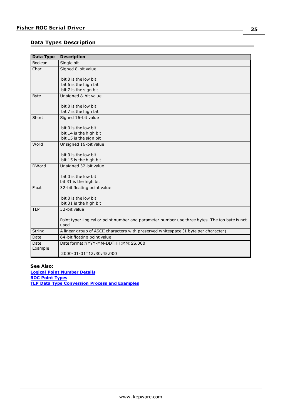## <span id="page-24-0"></span>**Data Types Description**

| <b>Data Type</b> | <b>Description</b>                                                                            |
|------------------|-----------------------------------------------------------------------------------------------|
| Boolean          | Single bit                                                                                    |
| Char             | Signed 8-bit value                                                                            |
|                  |                                                                                               |
|                  | bit 0 is the low bit<br>bit 6 is the high bit                                                 |
|                  | bit 7 is the sign bit                                                                         |
| <b>Byte</b>      | Unsigned 8-bit value                                                                          |
|                  |                                                                                               |
|                  | bit 0 is the low bit                                                                          |
|                  | bit 7 is the high bit                                                                         |
| Short            | Signed 16-bit value                                                                           |
|                  | bit 0 is the low bit                                                                          |
|                  | bit 14 is the high bit                                                                        |
|                  | bit 15 is the sign bit                                                                        |
| Word             | Unsigned 16-bit value                                                                         |
|                  |                                                                                               |
|                  | bit 0 is the low bit                                                                          |
|                  | bit 15 is the high bit                                                                        |
| <b>DWord</b>     | Unsigned 32-bit value                                                                         |
|                  | bit 0 is the low bit                                                                          |
|                  | bit 31 is the high bit                                                                        |
| Float            | 32-bit floating point value                                                                   |
|                  |                                                                                               |
|                  | bit 0 is the low bit                                                                          |
|                  | bit 31 is the high bit                                                                        |
| <b>TLP</b>       | 32-bit value                                                                                  |
|                  |                                                                                               |
|                  | Point type: Logical or point number and parameter number use three bytes. The top byte is not |
|                  | used.                                                                                         |
| String           | A linear group of ASCII characters with preserved whitespace (1 byte per character).          |
| Date             | 64-bit floating point value                                                                   |
| Date<br>Example  | Date format: YYYY-MM-DDTHH: MM: SS.000                                                        |
|                  | 2000-01-01T12:30:45.000                                                                       |

## **See Also:**

**Logical Point [Number](#page-29-0) Details ROC Point [Types](#page-26-1) TLP Data Type [Conversion](#page-25-0) Process and Examples**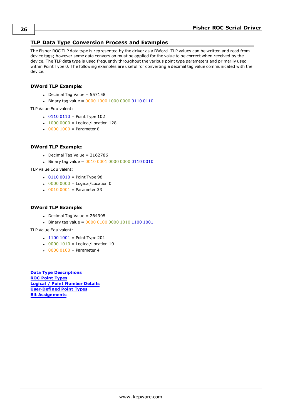## <span id="page-25-0"></span>**TLP Data Type Conversion Process and Examples**

The Fisher ROC TLP data type is represented by the driver as a DWord. TLP values can be written and read from device tags; however some data conversion must be applied for the value to be correct when received by the device. The TLP data type is used frequently throughout the various point type parameters and primarily used within Point Type 0. The following examples are useful for converting a decimal tag value communicated with the device.

#### **DWord TLP Example:**

- $\bullet$  Decimal Tag Value = 557158
- Binary tag value =  $0000 1000 1000 0000 0110 0110$

TLP Value Equivalent:

- $\cdot$  0110 0110 = Point Type 102
- $1000 0000 =$  Logical/Location 128
- $. 00001000 =$  Parameter 8

### **DWord TLP Example:**

- $\bullet$  Decimal Tag Value = 2162786
- Binary tag value =  $0010 0001 0000 0000 0110 0010$

TLP Value Equivalent:

- $\cdot$  0110 0010 = Point Type 98
- $\cdot$  0000 0000 = Logical/Location 0
- $\cdot$  0010 0001 = Parameter 33

### **DWord TLP Example:**

- $\bullet$  Decimal Tag Value = 264905
- Binary tag value =  $000001000000101011001001$

TLP Value Equivalent:

- $\cdot$  1100 1001 = Point Type 201
- $\cdot$  0000 1010 = Logical/Location 10
- $00000100 =$  Parameter 4

**Data Type [Descriptions](#page-24-0) ROC Point [Types](#page-26-1) Logical / Point [Number](#page-29-0) Details [User-Defined](#page-30-0) Point Types Bit [Assignments](#page-30-2)**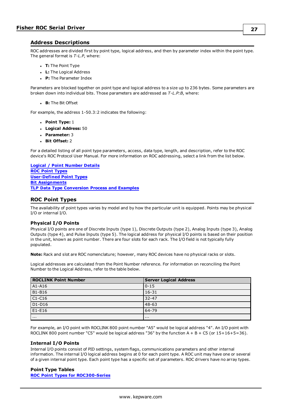#### <span id="page-26-0"></span>**Address Descriptions**

ROC addresses are divided first by point type, logical address, and then by parameter index within the point type. The general format is *T-L.P*, where:

- <sup>l</sup> **T:** The Point Type
- **L:** The Logical Address
- **P:** The Parameter Index

Parameters are blocked together on point type and logical address to a size up to 236 bytes. Some parameters are broken down into individual bits. Those parameters are addressed as *T-L.P:B*, where:

**B:** The Bit Offset

For example, the address 1-50.3:2 indicates the following:

- <sup>l</sup> **Point Type:** 1
- <sup>l</sup> **Logical Address:** 50
- <sup>l</sup> **Parameter:** 3
- <sup>l</sup> **Bit Offset:** 2

For a detailed listing of all point type parameters, access, data type, length, and description, refer to the ROC device's ROC Protocol User Manual. For more information on ROC addressing, select a link from the list below.

**Logical / Point [Number](#page-29-0) Details ROC Point [Types](#page-26-1) [User-Defined](#page-30-0) Point Types Bit [Assignments](#page-30-2) TLP Data Type [Conversion](#page-25-0) Process and Examples**

## <span id="page-26-1"></span>**ROC Point Types**

The availability of point types varies by model and by how the particular unit is equipped. Points may be physical I/O or internal I/O.

#### **Physical I/O Points**

Physical I/O points are one of Discrete Inputs (type 1), Discrete Outputs (type 2), Analog Inputs (type 3), Analog Outputs (type 4), and Pulse Inputs (type 5). The logical address for physical I/O points is based on their position in the unit, known as point number. There are four slots for each rack. The I/O field is not typically fully populated.

**Note:** Rack and slot are ROC nomenclature; however, many ROC devices have no physical racks or slots.

Logical addresses are calculated from the Point Number reference. For information on reconciling the Point Number to the Logical Address, refer to the table below.

| <b>ROCLINK Point Number</b>     | <b>Server Logical Address</b> |
|---------------------------------|-------------------------------|
| A <sub>1</sub> -A <sub>16</sub> | $0 - 15$                      |
| <b>B1-B16</b>                   | $16 - 31$                     |
| $C1-C16$                        | $32 - 47$                     |
| $D1-D16$                        | $48 - 63$                     |
| $E1-E16$                        | 64-79                         |
| $\cdots$                        | .                             |

For example, an I/O point with ROCLINK 800 point number "A5" would be logical address "4". An I/O point with ROCLINK 800 point number "C5" would be logical address "36" by the function  $A + B + CS$  (or  $15+16+5=36$ ).

#### **Internal I/O Points**

Internal I/O points consist of PID settings, system flags, communications parameters and other internal information. The internal I/O logical address begins at 0 for each point type. A ROC unit may have one or several of a given internal point type. Each point type has a specific set of parameters. ROC drivers have no array types.

#### **Point Type Tables**

**ROC Point Types for [ROC300-Series](#page-27-0)**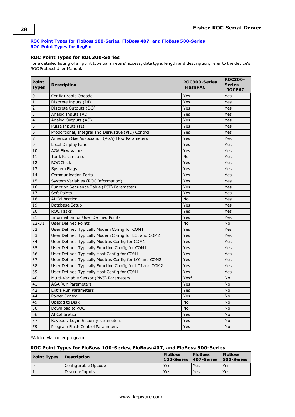### <span id="page-27-0"></span>**ROC Point Types for FloBoss [100-Series,](#page-27-1) FloBoss 407, and FloBoss 500-Series ROC Point Types for [RegFlo](#page-29-1)**

## **ROC Point Types for ROC300-Series**

For a detailed listing of all point type parameters' access, data type, length and description, refer to the device's ROC Protocol User Manual.

| Point<br><b>Types</b> | <b>Description</b>                                      | <b>ROC300-Series</b><br><b>FlashPAC</b> | <b>ROC300-</b><br><b>Series</b><br><b>ROCPAC</b> |
|-----------------------|---------------------------------------------------------|-----------------------------------------|--------------------------------------------------|
| 0                     | Configurable Opcode                                     | Yes                                     | Yes                                              |
| $\mathbf 1$           | Discrete Inputs (DI)                                    | Yes                                     | Yes                                              |
| $\overline{2}$        | Discrete Outputs (DO)                                   | Yes                                     | Yes                                              |
| $\overline{3}$        | Analog Inputs (AI)                                      | Yes                                     | Yes                                              |
| $\overline{4}$        | Analog Outputs (AO)                                     | Yes                                     | Yes                                              |
| $\overline{5}$        | Pulse Inputs (PI)                                       | Yes                                     | Yes                                              |
| 6                     | Proportional, Integral and Derivative (PID) Control     | Yes                                     | Yes                                              |
| $\overline{7}$        | American Gas Association (AGA) Flow Parameters          | Yes                                     | Yes                                              |
| $\overline{9}$        | Local Display Panel                                     | Yes                                     | Yes                                              |
| 10                    | <b>AGA Flow Values</b>                                  | Yes                                     | Yes                                              |
| 11                    | <b>Tank Parameters</b>                                  | No                                      | Yes                                              |
| 12                    | <b>ROC Clock</b>                                        | Yes                                     | Yes                                              |
| 13                    | System Flags                                            | Yes                                     | Yes                                              |
| 14                    | <b>Communication Ports</b>                              | Yes                                     | Yes                                              |
| 15                    | System Variables (ROC Information)                      | Yes                                     | Yes                                              |
| 16                    | Function Sequence Table (FST) Parameters                | Yes                                     | Yes                                              |
| 17                    | Soft Points                                             | Yes                                     | Yes                                              |
| 18                    | <b>AI Calibration</b>                                   | <b>No</b>                               | Yes                                              |
| 19                    | Database Setup                                          | Yes                                     | Yes                                              |
| 20                    | <b>ROC Tasks</b>                                        | Yes                                     | Yes                                              |
| 21                    | Information for User Defined Points                     | Yes                                     | Yes                                              |
| $22 - 31$             | <b>User Defined Points</b>                              | No                                      | No                                               |
| 32                    | User Defined Typically Modem Config for COM1            | Yes                                     | Yes                                              |
| 33                    | User Defined Typically Modem Config for LOI and COM2    | Yes                                     | Yes                                              |
| 34                    | User Defined Typically Modbus Config for COM1           | Yes                                     | Yes                                              |
| 35                    | User Defined Typically Function Config for COM1         | Yes                                     | Yes                                              |
| 36                    | User Defined Typically Host Config for COM1             | Yes                                     | Yes                                              |
| $\overline{37}$       | User Defined Typically Modbus Config for LOI and COM2   | Yes                                     | Yes                                              |
| 38                    | User Defined Typically Function Config for LOI and COM2 | Yes                                     | Yes                                              |
| 39                    | User Defined Typically Host Config for COM1             | Yes                                     | Yes                                              |
| 40                    | Multi-Variable Sensor (MVS) Parameters                  | Yes*                                    | No                                               |
| 41                    | <b>AGA Run Parameters</b>                               | Yes                                     | <b>No</b>                                        |
| 42                    | <b>Extra Run Parameters</b>                             | Yes                                     | <b>No</b>                                        |
| 44                    | Power Control                                           | Yes                                     | <b>No</b>                                        |
| 49                    | Upload to Disk                                          | No                                      | <b>No</b>                                        |
| 50                    | Download to ROC                                         | No                                      | No                                               |
| 56                    | <b>AI Calibration</b>                                   | Yes                                     | No                                               |
| 57                    | Keypad / Login Security Parameters                      | Yes                                     | No                                               |
| 59                    | Program Flash Control Parameters                        | Yes                                     | <b>No</b>                                        |

<span id="page-27-1"></span>\*Added via a user program.

#### **ROC Point Types for FloBoss 100-Series, FloBoss 407, and FloBoss 500-Series**

| <b>Point Types</b> | <i><b>Description</b></i> | <b>FloBoss</b><br>100-Series | <b>FloBoss</b><br>$ 407$ -Series | <b>FloBoss</b><br><b>500-Series</b> |
|--------------------|---------------------------|------------------------------|----------------------------------|-------------------------------------|
|                    | Configurable Opcode       | Yes                          | Yes                              | Yes                                 |
|                    | Discrete Inputs           | Yes                          | Yes                              | Yes                                 |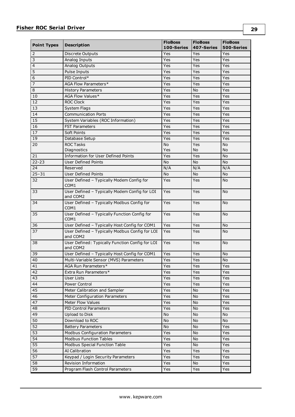| <b>Point Types</b><br><b>Description</b> |                                                                  | <b>FloBoss</b><br>100-Series | <b>FloBoss</b><br>407-Series | <b>FloBoss</b><br>500-Series |
|------------------------------------------|------------------------------------------------------------------|------------------------------|------------------------------|------------------------------|
| 2                                        | <b>Discrete Outputs</b>                                          | Yes                          | Yes                          | Yes                          |
| 3                                        | Analog Inputs                                                    | Yes                          | Yes                          | Yes                          |
| $\overline{4}$                           | Analog Outputs                                                   | Yes                          | Yes                          | Yes                          |
| 5                                        | Pulse Inputs                                                     | Yes                          | Yes                          | Yes                          |
| 6                                        | PID Control*                                                     | Yes                          | Yes                          | Yes                          |
| 7                                        | AGA Flow Parameters*                                             | Yes                          | Yes                          | Yes                          |
| 8                                        | <b>History Parameters</b>                                        | Yes                          | <b>No</b>                    | Yes                          |
| 10                                       | AGA Flow Values*                                                 | Yes                          | Yes                          | Yes                          |
| 12                                       | <b>ROC Clock</b>                                                 | Yes                          | Yes                          | Yes                          |
| 13                                       | <b>System Flags</b>                                              | Yes                          | Yes                          | Yes                          |
| 14                                       | <b>Communication Ports</b>                                       | Yes                          | Yes                          | Yes                          |
| 15                                       | System Variables (ROC Information)                               | Yes                          | Yes                          | Yes                          |
| 16                                       | <b>FST Parameters</b>                                            | Yes                          | Yes                          | Yes                          |
| 17                                       | <b>Soft Points</b>                                               | Yes                          | Yes                          | Yes                          |
| 19                                       | Database Setup                                                   | Yes                          | Yes                          | Yes                          |
| 20                                       | <b>ROC Tasks</b>                                                 | No.                          | Yes                          | <b>No</b>                    |
|                                          | Diagnostics                                                      | Yes                          | No                           | <b>No</b>                    |
| 21                                       | <b>Information for User Defined Points</b>                       | Yes                          | Yes                          | No                           |
| $22 - 23$                                | <b>User Defined Points</b>                                       | No.                          | <b>No</b>                    | <b>No</b>                    |
| 24                                       | Reserved                                                         | N/A                          | N/A                          | N/A                          |
| $25 - 31$                                | <b>User Defined Points</b>                                       | No                           | <b>No</b>                    | No                           |
| 32                                       | User Defined - Typically Modem Config for<br>COM1                | Yes                          | Yes                          | <b>No</b>                    |
| 33                                       | User Defined - Typically Modem Config for LOI<br>and COM2        | Yes                          | Yes                          | <b>No</b>                    |
| 34                                       | User Defined - Typically Modbus Config for<br>COM <sub>1</sub>   | Yes                          | Yes                          | <b>No</b>                    |
| 35                                       | User Defined - Typically Function Config for<br>COM <sub>1</sub> | Yes                          | Yes                          | No                           |
| 36                                       | User Defined - Typically Host Config for COM1                    | Yes                          | Yes                          | <b>No</b>                    |
| 37                                       | User Defined - Typically Modbus Config for LOI<br>and COM2       | Yes                          | Yes                          | No                           |
| 38                                       | User Defined: Typically Function Config for LOI<br>and COM2      | Yes                          | Yes                          | <b>No</b>                    |
| 39                                       | User Defined - Typically Host Config for COM1                    | Yes                          | Yes                          | No                           |
| 40                                       | Multi-Variable Sensor (MVS) Parameters                           | Yes                          | Yes                          | $\operatorname{\mathsf{No}}$ |
| 41                                       | AGA Run Parameters*                                              | Yes                          | Yes                          | Yes                          |
| 42                                       | Extra Run Parameters*                                            | Yes                          | Yes                          | Yes                          |
| 43                                       | <b>User Lists</b>                                                | Yes                          | Yes                          | Yes                          |
| 44                                       | Power Control                                                    | Yes                          | Yes                          | Yes                          |
| 45                                       | Meter Calibration and Sampler                                    | Yes                          | No                           | Yes                          |
| 46                                       | Meter Configuration Parameters                                   | Yes                          | <b>No</b>                    | Yes                          |
| 47                                       | <b>Meter Flow Values</b>                                         | Yes                          | No                           | Yes                          |
| 48                                       | PID Control Parameters                                           | Yes                          | No                           | Yes                          |
| 49                                       | Upload to Disk                                                   | No                           | No                           | <b>No</b>                    |
| 50                                       | Download to ROC                                                  | No                           | No                           | <b>No</b>                    |
| 52                                       | <b>Battery Parameters</b>                                        | No                           | No                           | Yes                          |
| 53                                       | <b>Modbus Configuration Parameters</b>                           | Yes                          | No                           | Yes                          |
| 54                                       | <b>Modbus Function Tables</b>                                    | Yes                          | No                           | Yes                          |
| 55                                       | <b>Modbus Special Function Table</b>                             | Yes                          | <b>No</b>                    | Yes                          |
| $\overline{56}$                          | AI Calibration                                                   | Yes                          | Yes                          | Yes                          |
| 57                                       | Keypad / Login Security Parameters                               | Yes                          | Yes                          | Yes                          |
| 58                                       | Revision Information                                             |                              | No                           |                              |
| 59                                       | Program Flash Control Parameters                                 | Yes<br>Yes                   | Yes                          | Yes<br>Yes                   |
|                                          |                                                                  |                              |                              |                              |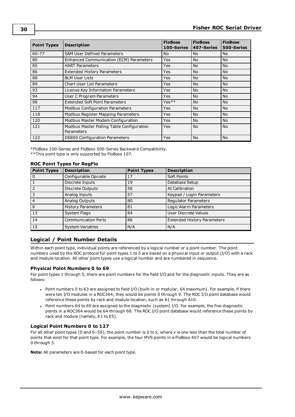| <b>Point Types</b> | <b>Description</b>                                      | <b>FloBoss</b><br>100-Series | <b>FloBoss</b><br>407-Series | <b>FloBoss</b><br>500-Series |
|--------------------|---------------------------------------------------------|------------------------------|------------------------------|------------------------------|
| $60 - 77$          | <b>SAM User Defined Parameters</b>                      | <b>No</b>                    | <b>No</b>                    | <b>No</b>                    |
| 80                 | Enhanced Communication (ECM) Parameters                 | Yes                          | <b>No</b>                    | <b>No</b>                    |
| 85                 | <b>HART Parameters</b>                                  | <b>Yes</b>                   | <b>No</b>                    | <b>No</b>                    |
| 86                 | <b>Extended History Parameters</b>                      | Yes                          | <b>No</b>                    | <b>No</b>                    |
| 88                 | <b>BLM User Lists</b>                                   | Yes                          | <b>No</b>                    | <b>No</b>                    |
| 89                 | <b>Chart User List Parameters</b>                       | Yes                          | <b>No</b>                    | <b>No</b>                    |
| 93                 | License Key Information Parameters                      | Yes                          | <b>No</b>                    | <b>No</b>                    |
| 94                 | User C Program Parameters                               | Yes                          | <b>No</b>                    | <b>No</b>                    |
| 98                 | <b>Extended Soft Point Parameters</b>                   | $Yes**$                      | <b>No</b>                    | <b>No</b>                    |
| 117                | <b>Modbus Configuration Parameters</b>                  | <b>Yes</b>                   | <b>No</b>                    | <b>No</b>                    |
| 118                | Modbus Register Mapping Parameters                      | Yes                          | <b>No</b>                    | <b>No</b>                    |
| 120                | Modbus Master Modem Configuration                       | Yes                          | <b>No</b>                    | <b>No</b>                    |
| 121                | Modbus Master Polling Table Configuration<br>Parameters | Yes                          | <b>No</b>                    | <b>No</b>                    |
| 122                | DS800 Configuration Parameters                          | Yes                          | <b>No</b>                    | <b>No</b>                    |

<span id="page-29-1"></span>\*FloBoss 100-Series and FloBoss 500-Series Backward Compatibility. \*\*This point type is only supported by FloBoss 107.

| <b>Point Types</b> | <b>Description</b>         | <b>Point Types</b> | <b>Description</b>                 |
|--------------------|----------------------------|--------------------|------------------------------------|
|                    | Configurable Opcode        | 17                 | Soft Points                        |
|                    | Discrete Inputs            | 19                 | Database Setup                     |
|                    | Discrete Outputs           | 56                 | AI Calibration                     |
|                    | Analog Inputs              | 57                 | Keypad / Login Parameters          |
|                    | Analog Outputs             | 80                 | Regulator Parameters               |
| 8                  | <b>History Parameters</b>  | 81                 | Logic Alarm Parameters             |
| 13                 | System Flags               | 84                 | User Discrete Values               |
| 14                 | <b>Communication Ports</b> | 86                 | <b>Extended History Parameters</b> |
| 15                 | <b>System Variables</b>    | N/A                | N/A                                |

## **ROC Point Types for RegFlo**

## <span id="page-29-0"></span>**Logical / Point Number Details**

Within each point type, individual points are referenced by a logical number or a point number. The point numbers used by the ROC protocol for point types 1 to 5 are based on a physical input or output (I/O) with a rack and module location. All other point types use a logical number and are numbered in sequence.

#### **Physical Point Numbers 0 to 69**

For point types 1 through 5, there are point numbers for the field I/O and for the diagnostic inputs. They are as follows:

- Point numbers 0 to 63 are assigned to field I/O (built-in or modular, 64 maximum). For example, if there were ten I/O modules in a ROC364, they would be points 0 through 9. The ROC I/O point database would reference these points by rack and module location, such as A1 through A10.
- Point numbers 64 to 69 are assigned to the diagnostic (system) I/O. For example, the five diagnostic points in a ROC364 would be 64 through 68. The ROC I/O point database would reference these points by rack and module (namely, E1 to E5).

#### **Logical Point Numbers 0 to 127**

For all other point types (0 and 6–59), the point number is 0 to *x*, where *x* is one less than the total number of points that exist for that point type. For example, the four MVS points in a FloBoss 407 would be logical numbers 0 through 3.

**Note:** All parameters are 0-based for each point type.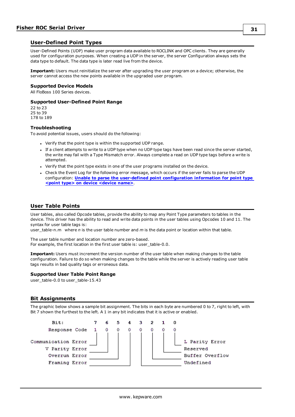### <span id="page-30-0"></span>**User-Defined Point Types**

User-Defined Points (UDP) make user program data available to ROCLINK and OPC clients. They are generally used for configuration purposes. When creating a UDP in the server, the server Configuration always sets the data type to default. The data type is later read live from the device.

**Important:** Users must reinitialize the server after upgrading the user program on a device; otherwise, the server cannot access the new points available in the upgraded user program.

#### **Supported Device Models**

All FloBoss 100 Series devices.

#### **Supported User-Defined Point Range**

22 to 23 25 to 39 178 to 189

#### **Troubleshooting**

To avoid potential issues, users should do the following:

- Verify that the point type is within the supported UDP range.
- <sup>l</sup> If a client attempts to write to a UDP type when no UDP type tags have been read since the server started, the write may fail with a Type Mismatch error. Always complete a read on UDP type tags before a write is attempted.
- Verify that the point type exists in one of the user programs installed on the device.
- Check the Event Log for the following error message, which occurs if the server fails to parse the UDP configuration: **Unable to parse the user-defined point [configuration](#page-49-0) information for point type <point type> on device [<device](#page-49-0) name>**.

## <span id="page-30-1"></span>**User Table Points**

User tables, also called Opcode tables, provide the ability to map any Point Type parameters to tables in the device. This driver has the ability to read and write data points in the user tables using Opcodes 10 and 11. The syntax for user table tags is:

user\_table-n.m where *n* is the user table number and *m* is the data point or location within that table.

The user table number and location number are zero-based. For example, the first location in the first user table is: user\_table-0.0.

**Important:** Users must increment the version number of the user table when making changes to the table configuration. Failure to do so when making changes to the table while the server is actively reading user table tags results in bad quality tags or erroneous data.

#### **Supported User Table Point Range**

user\_table-0.0 to user\_table-15.43

#### <span id="page-30-2"></span>**Bit Assignments**

The graphic below shows a sample bit assignment. The bits in each byte are numbered 0 to 7, right to left, with Bit 7 shown the furthest to the left. A 1 in any bit indicates that it is active or enabled.

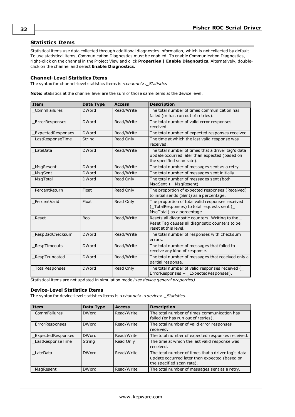## <span id="page-31-0"></span>**Statistics Items**

Statistical items use data collected through additional diagnostics information, which is not collected by default. To use statistical items, Communication Diagnostics must be enabled. To enable Communication Diagnostics, right-click on the channel in the Project View and click **Properties | Enable Diagnostics**. Alternatively, doubleclick on the channel and select **Enable Diagnostics**.

#### **Channel-Level Statistics Items**

The syntax for channel-level statistics items is *<channel>.\_Statistics*.

**Note:** Statistics at the channel level are the sum of those same items at the device level.

| <b>Item</b>       | Data Type    | <b>Access</b> | <b>Description</b>                                                                                                               |
|-------------------|--------------|---------------|----------------------------------------------------------------------------------------------------------------------------------|
| CommFailures      | <b>DWord</b> | Read/Write    | The total number of times communication has<br>failed (or has run out of retries).                                               |
| ErrorResponses    | <b>DWord</b> | Read/Write    | The total number of valid error responses<br>received.                                                                           |
| ExpectedResponses | <b>DWord</b> | Read/Write    | The total number of expected responses received.                                                                                 |
| LastResponseTime  | String       | Read Only     | The time at which the last valid response was<br>received.                                                                       |
| LateData          | <b>DWord</b> | Read/Write    | The total number of times that a driver tag's data<br>update occurred later than expected (based on<br>the specified scan rate). |
| MsgResent         | <b>DWord</b> | Read/Write    | The total number of messages sent as a retry.                                                                                    |
| MsgSent           | <b>DWord</b> | Read/Write    | The total number of messages sent initially.                                                                                     |
| MsqTotal          | <b>DWord</b> | Read Only     | The total number of messages sent (both _<br>MsgSent + _MsgResent).                                                              |
| PercentReturn     | Float        | Read Only     | The proportion of expected responses (Received)<br>to initial sends (Sent) as a percentage.                                      |
| PercentValid      | Float        | Read Only     | The proportion of total valid responses received<br>(TotalResponses) to total requests sent (<br>MsgTotal) as a percentage.      |
| Reset             | <b>Bool</b>  | Read/Write    | Resets all diagnostic counters. Writing to the _<br>Reset Tag causes all diagnostic counters to be<br>reset at this level.       |
| RespBadChecksum   | <b>DWord</b> | Read/Write    | The total number of responses with checksum<br>errors.                                                                           |
| _RespTimeouts     | <b>DWord</b> | Read/Write    | The total number of messages that failed to<br>receive any kind of response.                                                     |
| RespTruncated     | <b>DWord</b> | Read/Write    | The total number of messages that received only a<br>partial response.                                                           |
| TotalResponses    | <b>DWord</b> | Read Only     | The total number of valid responses received (<br>ErrorResponses + ExpectedResponses).                                           |

Statistical items are not updated in simulation mode *(see device general properties)*.

#### **Device-Level Statistics Items**

The syntax for device-level statistics items is *<channel>.<device>.\_Statistics*.

| <b>Item</b>       | Data Type    | <b>Access</b> | <b>Description</b>                                                                                                               |
|-------------------|--------------|---------------|----------------------------------------------------------------------------------------------------------------------------------|
| CommFailures      | <b>DWord</b> | Read/Write    | The total number of times communication has<br>failed (or has run out of retries).                                               |
| ErrorResponses    | <b>DWord</b> | Read/Write    | The total number of valid error responses<br>received.                                                                           |
| ExpectedResponses | <b>DWord</b> | Read/Write    | The total number of expected responses received.                                                                                 |
| _LastResponseTime | String       | Read Only     | The time at which the last valid response was<br>received.                                                                       |
| LateData          | <b>DWord</b> | Read/Write    | The total number of times that a driver tag's data<br>update occurred later than expected (based on<br>the specified scan rate). |
| MsgResent         | <b>DWord</b> | Read/Write    | The total number of messages sent as a retry.                                                                                    |

**32**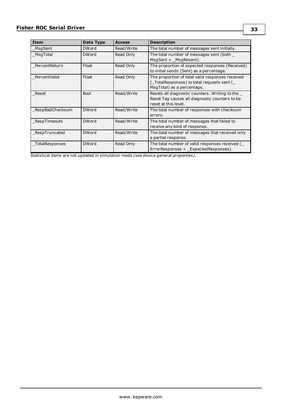| Item            | Data Type    | <b>Access</b> | <b>Description</b>                                                                                                          |
|-----------------|--------------|---------------|-----------------------------------------------------------------------------------------------------------------------------|
| MsgSent         | <b>DWord</b> | Read/Write    | The total number of messages sent initially.                                                                                |
| MsgTotal        | <b>DWord</b> | Read Only     | The total number of messages sent (both<br>MsgSent + MsgResent).                                                            |
| PercentReturn   | Float        | Read Only     | The proportion of expected responses (Received)<br>to initial sends (Sent) as a percentage.                                 |
| PercentValid    | Float        | Read Only     | The proportion of total valid responses received<br>(TotalResponses) to total requests sent (<br>MsgTotal) as a percentage. |
| Reset           | <b>Bool</b>  | Read/Write    | Resets all diagnostic counters. Writing to the<br>Reset Tag causes all diagnostic counters to be<br>reset at this level.    |
| RespBadChecksum | <b>DWord</b> | Read/Write    | The total number of responses with checksum<br>errors.                                                                      |
| RespTimeouts    | <b>DWord</b> | Read/Write    | The total number of messages that failed to<br>receive any kind of response.                                                |
| RespTruncated   | <b>DWord</b> | Read/Write    | The total number of messages that received only<br>a partial response.                                                      |
| TotalResponses  | <b>DWord</b> | Read Only     | The total number of valid responses received (<br>ErrorResponses + ExpectedResponses).                                      |

Statistical items are not updated in simulation mode *(see device general properties)*.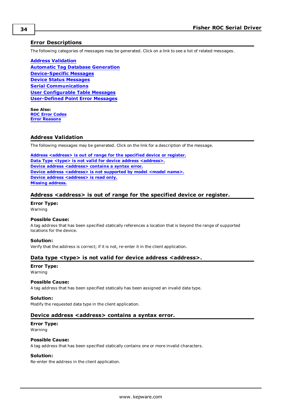### <span id="page-33-0"></span>**Error Descriptions**

The following categories of messages may be generated. Click on a link to see a list of related messages.

**Address [Validation](#page-33-1) Automatic Tag Database [Generation](#page-34-3) [Device-Specific](#page-37-4) Messages Device Status [Messages](#page-43-0) Serial [Communications](#page-43-4) User [Configurable](#page-45-0) Table Messages [User-Defined](#page-48-1) Point Error Messages**

**See Also: ROC Error [Codes](#page-50-0) Error [Reasons](#page-51-0)**

## <span id="page-33-1"></span>**Address Validation**

The following messages may be generated. Click on the link for a description of the message.

**Address [<address>](#page-33-2) is out of range for the specified device or register. Data Type <type> is not valid for device address [<address>.](#page-33-3) Device address [<address>](#page-33-4)** contains a syntax error. **Device** address [<address>](#page-34-0) is not supported by model <model name>. **Device address [<address>](#page-34-1)** is read only. **Missing [address.](#page-34-2)**

#### <span id="page-33-2"></span>**Address <address> is out of range for the specified device or register.**

**Error Type:** Warning

#### **Possible Cause:**

A tag address that has been specified statically references a location that is beyond the range of supported locations for the device.

#### **Solution:**

<span id="page-33-3"></span>Verify that the address is correct; if it is not, re-enter it in the client application.

#### **Data type <type> is not valid for device address <address>.**

## **Error Type:**

Warning

#### **Possible Cause:**

A tag address that has been specified statically has been assigned an invalid data type.

#### **Solution:**

<span id="page-33-4"></span>Modify the requested data type in the client application.

#### **Device address <address> contains a syntax error.**

#### **Error Type:** Warning

### **Possible Cause:**

A tag address that has been specified statically contains one or more invalid characters.

#### **Solution:**

Re-enter the address in the client application.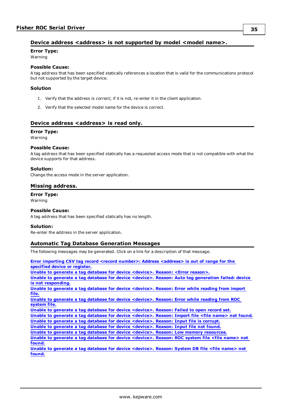## <span id="page-34-0"></span>**Device address <address> is not supported by model <model name>.**

**Error Type:**

Warning

#### **Possible Cause:**

A tag address that has been specified statically references a location that is valid for the communications protocol but not supported by the target device.

#### **Solution**

- 1. Verify that the address is correct; if it is not, re-enter it in the client application.
- 2. Verify that the selected model name for the device is correct.

## <span id="page-34-1"></span>**Device address <address> is read only.**

#### **Error Type:**

Warning

#### **Possible Cause:**

A tag address that has been specified statically has a requested access mode that is not compatible with what the device supports for that address.

#### **Solution:**

<span id="page-34-2"></span>Change the access mode in the server application.

### **Missing address.**

**Error Type:** Warning

#### **Possible Cause:**

A tag address that has been specified statically has no length.

#### **Solution:**

<span id="page-34-3"></span>Re-enter the address in the server application.

#### **Automatic Tag Database Generation Messages**

The following messages may be generated. Click on a link for a description of that message.

**Error importing CSV tag record <record number>: Address [<address>](#page-35-0) is out of range for the [specified](#page-35-0) device or register. Unable to generate a tag database for device [<device>.](#page-35-1) Reason: <Error reason>. Unable to generate a tag database for device <device>. Reason: Auto tag [generation](#page-35-2) failed: device is not [responding.](#page-35-2) Unable to generate a tag database for device [<device>.](#page-35-3) Reason: Error while reading from import [file.](#page-35-3) Unable to generate a tag database for device [<device>.](#page-36-0) Reason: Error while reading from ROC [system](#page-36-0) file. Unable to generate a tag database for device [<device>.](#page-36-1) Reason: Failed to open record set. Unable to generate a tag database for device [<device>.](#page-36-2) Reason: Import file <file name> not found. Unable to generate a tag database for device [<device>.](#page-36-3) Reason: Input file is corrupt. Unable to generate a tag database for device [<device>.](#page-37-0) Reason: Input file not found. Unable to generate a tag database for device <device>. Reason: Low memory [resources.](#page-37-1) Unable to generate a tag database for device [<device>.](#page-37-2) Reason: ROC system file <file name> not [found.](#page-37-2) Unable to generate a tag database for device [<device>.](#page-37-3) Reason: System DB file <file name> not [found.](#page-37-3)**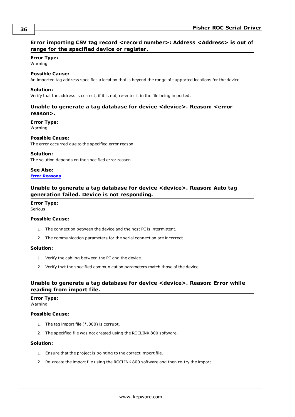## <span id="page-35-0"></span>**Error importing CSV tag record <record number>: Address <Address> is out of range for the specified device or register.**

#### **Error Type:**

Warning

#### **Possible Cause:**

An imported tag address specifies a location that is beyond the range of supported locations for the device.

#### **Solution:**

<span id="page-35-1"></span>Verify that the address is correct; if it is not, re-enter it in the file being imported.

## **Unable to generate a tag database for device <device>. Reason: <error reason>.**

**Error Type:**

Warning

#### **Possible Cause:**

The error occurred due to the specified error reason.

#### **Solution:**

The solution depends on the specified error reason.

**See Also:**

## <span id="page-35-2"></span>**Error [Reasons](#page-51-0)**

## **Unable to generate a tag database for device <device>. Reason: Auto tag generation failed. Device is not responding.**

## **Error Type:**

Serious

#### **Possible Cause:**

- 1. The connection between the device and the host PC is intermittent.
- 2. The communication parameters for the serial connection are incorrect.

### **Solution:**

- 1. Verify the cabling between the PC and the device.
- 2. Verify that the specified communication parameters match those of the device.

## <span id="page-35-3"></span>**Unable to generate a tag database for device <device>. Reason: Error while reading from import file.**

#### **Error Type:**

Warning

#### **Possible Cause:**

- 1. The tag import file (\*.800) is corrupt.
- 2. The specified file was not created using the ROCLINK 800 software.

#### **Solution:**

- 1. Ensure that the project is pointing to the correct import file.
- 2. Re-create the import file using the ROCLINK 800 software and then re-try the import.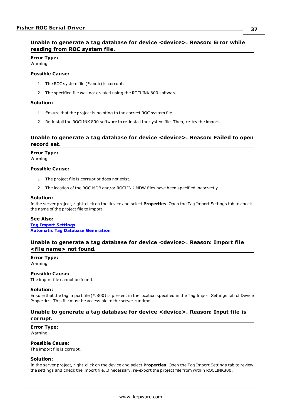## <span id="page-36-0"></span>**Unable to generate a tag database for device <device>. Reason: Error while reading from ROC system file.**

**Error Type:** Warning

#### **Possible Cause:**

- 1. The ROC system file (\*.mdb) is corrupt.
- 2. The specified file was not created using the ROCLINK 800 software.

#### **Solution:**

- 1. Ensure that the project is pointing to the correct ROC system file.
- 2. Re-install the ROCLINK 800 software to re-install the system file. Then, re-try the import.

## <span id="page-36-1"></span>**Unable to generate a tag database for device <device>. Reason: Failed to open record set.**

#### **Error Type:**

Warning

#### **Possible Cause:**

- 1. The project file is corrupt or does not exist.
- 2. The location of the ROC.MDB and/or ROCLINK.MDW files have been specified incorrectly.

#### **Solution:**

In the server project, right-click on the device and select **Properties**. Open the Tag Import Settings tab to check the name of the project file to import.

#### **See Also:**

**Tag Import [Settings](#page-17-0) Automatic Tag Database [Generation](#page-16-0)**

### <span id="page-36-2"></span>**Unable to generate a tag database for device <device>. Reason: Import file <file name> not found.**

**Error Type:** Warning

#### **Possible Cause:**

The import file cannot be found.

#### **Solution:**

Ensure that the tag import file (\*.800) is present in the location specified in the Tag Import Settings tab of Device Properties. This file must be accessible to the server runtime.

### <span id="page-36-3"></span>**Unable to generate a tag database for device <device>. Reason: Input file is corrupt.**

**Error Type:** Warning

#### **Possible Cause:**

The import file is corrupt.

#### **Solution:**

In the server project, right-click on the device and select **Properties**. Open the Tag Import Settings tab to review the settings and check the import file. If necessary, re-export the project file from within ROCLINK800.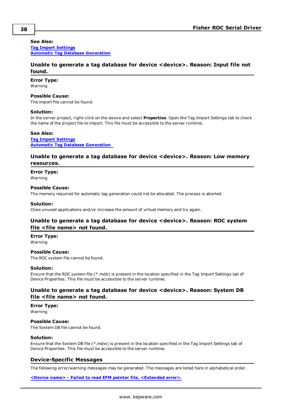#### **See Also:**

**Tag Import [Settings](#page-17-0) Automatic Tag Database [Generation](#page-16-0)**

## <span id="page-37-0"></span>**Unable to generate a tag database for device <device>. Reason: Input file not found.**

#### **Error Type:**

Warning

#### **Possible Cause:**

The import file cannot be found.

#### **Solution:**

In the server project, right-click on the device and select **Properties**. Open the Tag Import Settings tab to check the name of the project file to import. This file must be accessible to the server runtime.

#### **See Also:**

**Tag Import [Settings](#page-17-0) Automatic Tag Database [Generation](#page-16-0)**

### <span id="page-37-1"></span>**Unable to generate a tag database for device <device>. Reason: Low memory resources.**

## **Error Type:**

Warning

#### **Possible Cause:**

The memory required for automatic tag generation could not be allocated. The process is aborted.

#### **Solution:**

<span id="page-37-2"></span>Close unused applications and/or increase the amount of virtual memory and try again.

## **Unable to generate a tag database for device <device>. Reason: ROC system file <file name> not found.**

## **Error Type:**

Warning

#### **Possible Cause:**

The ROC system file cannot be found.

#### **Solution:**

Ensure that the ROC system file (\*.mdb) is present in the location specified in the Tag Import Settings tab of Device Properties. This file must be accessible to the server runtime.

## <span id="page-37-3"></span>**Unable to generate a tag database for device <device>. Reason: System DB file <file name> not found.**

**Error Type:** Warning

#### **Possible Cause:**

The System DB file cannot be found.

#### **Solution:**

Ensure that the System DB file (\*.mdw) is present in the location specified in the Tag Import Settings tab of Device Properties. This file must be accessible to the server runtime.

#### <span id="page-37-4"></span>**Device-Specific Messages**

The following error/warning messages may be generated. The messages are listed here in alphabetical order.

**<Device name> - Failed to read EFM pointer file. [<Extended](#page-38-0) error>.**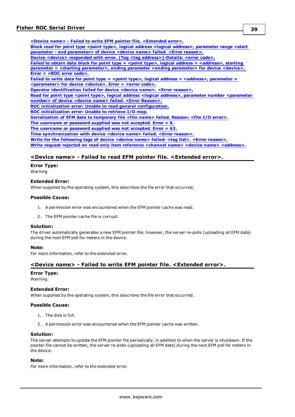**<Device name> - Failed to write EFM pointer file. [<Extended](#page-38-1) error>. Block read for point type <point type>, logical address <logical address>, [parameter](#page-39-0) range <start parameter - end [parameter>](#page-39-0) of device <device name> failed. <Error reason>. Device <device> responded with error. (Tag <tag [address>\)-Details:](#page-39-1) <error code>. Failed to obtain data block for point type = <point type>, logical address = [<address>,](#page-39-2) starting parameter = <starting [parameter>,](#page-39-2) ending parameter <ending parameter> for device <device>. Error = <ROC error [code>.](#page-39-2) Failed to write data for point type = <point type>, logical address = [<address>,](#page-40-0) parameter = [<parameter>](#page-40-0) for device <device>. Error = <error code>. Operator [identification](#page-40-1) failed for device <device name>. <Error reason>. Read for point type <point type>, logical address <logical address>, parameter number [<parameter](#page-40-2) number> of device <device name> failed. <Error [Reason>.](#page-40-2) ROC initialization error: Unable to read general [configuration.](#page-40-3) ROC [initialization](#page-41-0) error: Unable to retrieve I/O map. [Serialization](#page-41-1) of EFM data to temporary file <file name> failed. Reason: <file I/O error>. The [username](#page-41-2) or password supplied was not accepted. Error = 6. The [username](#page-42-0) or password supplied was not accepted. Error = 63. Time [synchronization](#page-42-1) with device <device name> failed. <Error reason>. Write for the [following](#page-42-2) tags of device <device name> failed: <tag list>. <Error reason>. Write request rejected on read only item reference <channel name> <device name> [<address>.](#page-42-3)**

### <span id="page-38-0"></span>**<Device name> - Failed to read EFM pointer file. <Extended error>.**

## **Error Type:**

Warning

#### **Extended Error:**

When supplied by the operating system, this describes the file error that occurred.

#### **Possible Cause:**

- 1. A permission error was encountered when the EFM pointer cache was read.
- 2. The EFM pointer cache file is corrupt.

#### **Solution:**

The driver automatically generates a new EFM pointer file; however, the server re-polls (uploading all EFM data) during the next EFM poll for meters in the device.

#### **Note:**

<span id="page-38-1"></span>*For more information, refer to the extended error.*

## **<Device name> - Failed to write EFM pointer file. <Extended error>.**

#### **Error Type:**

Warning

### **Extended Error:**

When supplied by the operating system, this describes the file error that occurred.

#### **Possible Cause:**

- 1. The disk is full.
- 2. A permission error was encountered when the EFM pointer cache was written.

#### **Solution:**

The server attempts to update the EFM pointer file periodically, in addition to when the server is shutdown. If the pointer file cannot be written, the server re-polls (uploading all EFM data) during the next EFM poll for meters in the device.

## **Note:**

*For more information, refer to the extended error.*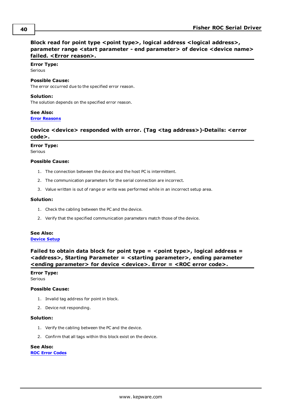## <span id="page-39-0"></span>**Block read for point type <point type>, logical address <logical address>, parameter range <start parameter - end parameter> of device <device name> failed. <Error reason>.**

#### **Error Type:** Serious

#### **Possible Cause:**

The error occurred due to the specified error reason.

### **Solution:**

The solution depends on the specified error reason.

## **See Also:**

<span id="page-39-1"></span>**Error [Reasons](#page-51-0)**

## **Device <device> responded with error. (Tag <tag address>)-Details: <error code>.**

#### **Error Type:**

Serious

#### **Possible Cause:**

- 1. The connection between the device and the host PC is intermittent.
- 2. The communication parameters for the serial connection are incorrect.
- 3. Value written is out of range or write was performed while in an incorrect setup area.

#### **Solution:**

- 1. Check the cabling between the PC and the device.
- 2. Verify that the specified communication parameters match those of the device.

#### **See Also: [Device](#page-11-0) Setup**

<span id="page-39-2"></span>**Failed to obtain data block for point type = <point type>, logical address = <address>, Starting Parameter = <starting parameter>, ending parameter <ending parameter> for device <device>. Error = <ROC error code>.**

#### **Error Type:** Serious

#### **Possible Cause:**

- 1. Invalid tag address for point in block.
- 2. Device not responding.

#### **Solution:**

- 1. Verify the cabling between the PC and the device.
- 2. Confirm that all tags within this block exist on the device.

## **See Also:**

**ROC Error [Codes](#page-50-0)**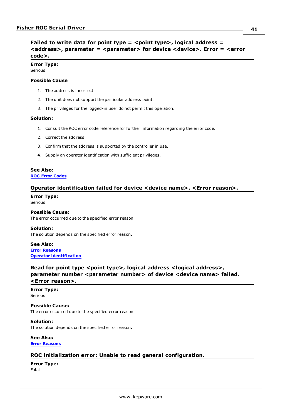```
Failed to write data for point type = <point type>, logical address =
<address>, parameter = <parameter> for device <device>. Error = <error
code>.
```
## **Error Type:**

Serious

#### **Possible Cause**

- 1. The address is incorrect.
- 2. The unit does not support the particular address point.
- 3. The privileges for the logged-in user do not permit this operation.

#### **Solution:**

- 1. Consult the ROC error code reference for further information regarding the error code.
- 2. Correct the address.
- 3. Confirm that the address is supported by the controller in use.
- 4. Supply an operator identification with sufficient privileges.

#### **See Also: ROC Error [Codes](#page-50-0)**

## <span id="page-40-1"></span>**Operator identification failed for device <device name>. <Error reason>.**

#### **Error Type:** Serious

#### **Possible Cause:**

The error occurred due to the specified error reason.

**Solution:** The solution depends on the specified error reason.

**See Also: Error [Reasons](#page-51-0) Operator [identification](#page-20-0)**

<span id="page-40-2"></span>**Read for point type <point type>, logical address <logical address>, parameter number <parameter number> of device <device name> failed. <Error reason>.**

#### **Error Type:** Serious

**Possible Cause:** The error occurred due to the specified error reason.

**Solution:**

The solution depends on the specified error reason.

**See Also: Error [Reasons](#page-51-0)**

## <span id="page-40-3"></span>**ROC initialization error: Unable to read general configuration.**

**Error Type:** Fatal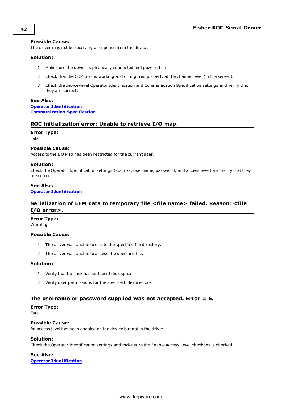#### **Possible Cause:**

The driver may not be receiving a response from the device.

#### **Solution:**

- 1. Make sure the device is physically connected and powered on.
- 2. Check that the COM port is working and configured properly at the channel level (in the server).
- 3. Check the device-level Operator Identification and Communication Specification settings and verify that they are correct.

#### **See Also:**

**Operator [Identification](#page-20-0) [Communication](#page-19-0) Specification**

#### <span id="page-41-0"></span>**ROC initialization error: Unable to retrieve I/O map.**

## **Error Type:**

Fatal

#### **Possible Cause:**

Access to the I/O Map has been restricted for the current user.

#### **Solution:**

Check the Operator Identification settings (such as, username, password, and access level) and verify that they are correct.

## **See Also:**

<span id="page-41-1"></span>**Operator [Identification](#page-20-0)**

## **Serialization of EFM data to temporary file <file name> failed. Reason: <file I/O error>.**

#### **Error Type:**

Warning

#### **Possible Cause:**

- 1. The driver was unable to create the specified file directory.
- 2. The driver was unable to access the specified file.

#### **Solution:**

- 1. Verify that the disk has sufficient disk space.
- 2. Verify user permissions for the specified file directory.

#### <span id="page-41-2"></span>**The username or password supplied was not accepted. Error = 6.**

#### **Error Type:**

Fatal

#### **Possible Cause:**

An access level has been enabled on the device but not in the driver.

#### **Solution:**

Check the Operator Identification settings and make sure the Enable Access Level checkbox is checked.

#### **See Also:**

**Operator [Identification](#page-20-0)**

**42**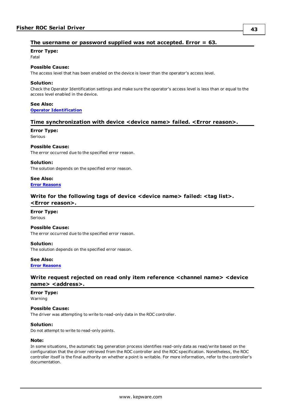## <span id="page-42-0"></span>**The username or password supplied was not accepted. Error = 63.**

**Error Type:**

Fatal

## **Possible Cause:**

The access level that has been enabled on the device is lower than the operator's access level.

#### **Solution:**

Check the Operator Identification settings and make sure the operator's access level is less than or equal to the access level enabled in the device.

#### **See Also: Operator [Identification](#page-20-0)**

#### <span id="page-42-1"></span>**Time synchronization with device <device name> failed. <Error reason>.**

#### **Error Type:** Serious

#### **Possible Cause:**

The error occurred due to the specified error reason.

#### **Solution:**

The solution depends on the specified error reason.

#### **See Also: Error [Reasons](#page-51-0)**

## <span id="page-42-2"></span>**Write for the following tags of device <device name> failed: <tag list>. <Error reason>.**

## **Error Type:**

**Serious** 

### **Possible Cause:**

The error occurred due to the specified error reason.

#### **Solution:**

The solution depends on the specified error reason.

## **See Also:**

<span id="page-42-3"></span>**Error [Reasons](#page-51-0)**

## **Write request rejected on read only item reference <channel name> <device** hame> <address>.

## **Error Type:**

Warning

#### **Possible Cause:**

The driver was attempting to write to read-only data in the ROC controller.

#### **Solution:**

Do not attempt to write to read-only points.

#### **Note:**

In some situations, the automatic tag generation process identifies read-only data as read/write based on the configuration that the driver retrieved from the ROC controller and the ROC specification. Nonetheless, the ROC controller itself is the final authority on whether a point is writable. For more information, refer to the controller's documentation.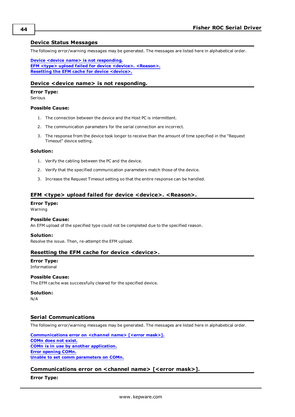#### <span id="page-43-0"></span>**Device Status Messages**

The following error/warning messages may be generated. The messages are listed here in alphabetical order.

**Device <device name> is not [responding.](#page-43-1) EFM <type> upload failed for device <device>. [<Reason>.](#page-43-2) Resetting the EFM cache for device [<device>.](#page-43-3)**

### <span id="page-43-1"></span>**Device <device name> is not responding.**

#### **Error Type:**

Serious

#### **Possible Cause:**

- 1. The connection between the device and the Host PC is intermittent.
- 2. The communication parameters for the serial connection are incorrect.
- 3. The response from the device took longer to receive than the amount of time specified in the "Request Timeout" device setting.

#### **Solution:**

- 1. Verify the cabling between the PC and the device.
- 2. Verify that the specified communication parameters match those of the device.
- 3. Increase the Request Timeout setting so that the entire response can be handled.

#### <span id="page-43-2"></span>**EFM <type> upload failed for device <device>. <Reason>.**

#### **Error Type:**

Warning

#### **Possible Cause:**

An EFM upload of the specified type could not be completed due to the specified reason.

#### **Solution:**

<span id="page-43-3"></span>Resolve the issue. Then, re-attempt the EFM upload.

#### **Resetting the EFM cache for device <device>.**

## **Error Type:**

Informational

## **Possible Cause:**

The EFM cache was successfully cleared for the specified device.

#### **Solution:**

N/A

## <span id="page-43-4"></span>**Serial Communications**

The following error/warning messages may be generated. The messages are listed here in alphabetical order.

**[Communications](#page-43-5) error on <channel name> [<error mask>]. [COMn](#page-44-0) does not exist. COMn is in use by another [application.](#page-44-1) Error [opening](#page-44-2) COMn. Unable to set comm [parameters](#page-44-3) on COMn.**

#### <span id="page-43-5"></span>**Communications error on <channel name> [<error mask>].**

**Error Type:**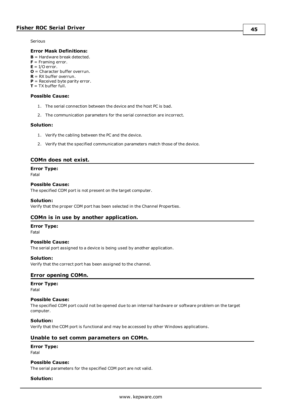Serious

#### **Error Mask Definitions:**

- **B** = Hardware break detected.
- **F** = Framing error.
- $E = I/O$  error.
- **O** = Character buffer overrun.
- **R** = RX buffer overrun.
- **P** = Received byte parity error.
- $T = TX$  buffer full.

### **Possible Cause:**

- 1. The serial connection between the device and the host PC is bad.
- 2. The communication parameters for the serial connection are incorrect.

#### **Solution:**

- 1. Verify the cabling between the PC and the device.
- 2. Verify that the specified communication parameters match those of the device.

### <span id="page-44-0"></span>**COMn does not exist.**

#### **Error Type:**

Fatal

### **Possible Cause:**

The specified COM port is not present on the target computer.

#### **Solution:**

<span id="page-44-1"></span>Verify that the proper COM port has been selected in the Channel Properties.

## **COMn is in use by another application.**

### **Error Type:**

Fatal

## The serial port assigned to a device is being used by another application.

**Possible Cause:**

#### **Solution:**

<span id="page-44-2"></span>Verify that the correct port has been assigned to the channel.

## **Error opening COMn.**

## **Error Type:**

Fatal

#### **Possible Cause:**

The specified COM port could not be opened due to an internal hardware or software problem on the target computer.

#### **Solution:**

<span id="page-44-3"></span>Verify that the COM port is functional and may be accessed by other Windows applications.

#### **Unable to set comm parameters on COMn.**

#### **Error Type:**

Fatal

### **Possible Cause:**

The serial parameters for the specified COM port are not valid.

#### **Solution:**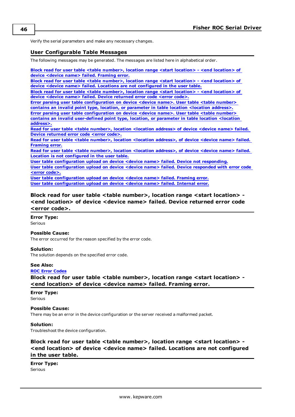<span id="page-45-0"></span>Verify the serial parameters and make any necessary changes.

### **User Configurable Table Messages**

The following messages may be generated. The messages are listed here in alphabetical order.

**Block read for user table <table [number>,](#page-45-2) location range <start location> - <end location> of device <device name> failed. [Framing](#page-45-2) error.**

**Block read for user table <table [number>,](#page-45-3) location range <start location> - <end location> of device <device name> failed. Locations are not [configured](#page-45-3) in the user table.**

**Block read for user table <table [number>,](#page-45-1) location range <start location> - <end location> of device <device name> failed. Device [returned](#page-45-1) error code <error code>.**

**Error parsing user table [configuration](#page-46-1) on device <device name>. User table <table number> contains an invalid point type, location, or [parameter](#page-46-1) in table location <location address>. Error parsing user table [configuration](#page-46-0) on device <device name>. User table <table number> contains an invalid [user-defined](#page-46-0) point type, location, or parameter in table location <location [address>.](#page-46-0)**

**Read for user table <table [number>,](#page-46-2) location <location address> of device <device name> failed. Device [returned](#page-46-2) error code <error code>.**

**Read for user table <table [number>,](#page-46-3) location <location address>, of device <device name> failed. [Framing](#page-46-3) error.**

**Read for user table <table [number>,](#page-47-0) location <location address>, of device <device name> failed. Location is not [configured](#page-47-0) in the user table.**

**User table [configuration](#page-47-1) upload on device <device name> failed. Device not responding.**

**User table [configuration](#page-47-2) upload on device <device name> failed. Device responded with error code <error [code>.](#page-47-2)**

**User table [configuration](#page-47-3) upload on device <device name> failed. Framing error. User table [configuration](#page-48-0) upload on device <device name> failed. Internal error.**

## <span id="page-45-1"></span>**Block read for user table <table number>, location range <start location> - <end location> of device <device name> failed. Device returned error code <error code>.**

**Error Type:**

**Serious** 

#### **Possible Cause:**

The error occurred for the reason specified by the error code.

#### **Solution:**

The solution depends on the specified error code.

#### **See Also:**

#### <span id="page-45-2"></span>**ROC Error [Codes](#page-50-0)**

**Block read for user table <table number>, location range <start location> - <end location> of device <device name> failed. Framing error.**

#### **Error Type:** Serious

## **Possible Cause:**

There may be an error in the device configuration or the server received a malformed packet.

#### **Solution:**

<span id="page-45-3"></span>Troubleshoot the device configuration.

## **Block read for user table <table number>, location range <start location> - <end location> of device <device name> failed. Locations are not configured in the user table.**

#### **Error Type:** Serious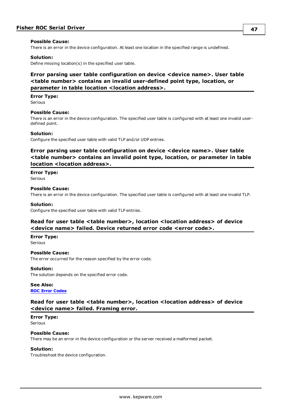#### **Possible Cause:**

There is an error in the device configuration. At least one location in the specified range is undefined.

#### **Solution:**

<span id="page-46-0"></span>Define missing location(s) in the specified user table.

## **Error parsing user table configuration on device <device name>. User table <table number> contains an invalid user-defined point type, location, or parameter in table location <location address>.**

**Error Type:** Serious

#### **Possible Cause:**

There is an error in the device configuration. The specified user table is configured with at least one invalid userdefined point.

#### **Solution:**

<span id="page-46-1"></span>Configure the specified user table with valid TLP and/or UDP entries.

## **Error parsing user table configuration on device <device name>. User table <table number> contains an invalid point type, location, or parameter in table location <location address>.**

#### **Error Type:**

**Serious** 

#### **Possible Cause:**

There is an error in the device configuration. The specified user table is configured with at least one invalid TLP.

#### **Solution:**

<span id="page-46-2"></span>Configure the specified user table with valid TLP entries.

## **Read for user table <table number>, location <location address> of device <device name> failed. Device returned error code <error code>.**

#### **Error Type:**

Serious

#### **Possible Cause:**

The error occurred for the reason specified by the error code.

#### **Solution:**

The solution depends on the specified error code.

#### **See Also:**

<span id="page-46-3"></span>**ROC Error [Codes](#page-50-0)**

## **Read for user table <table number>, location <location address> of device <device name> failed. Framing error.**

### **Error Type:**

Serious

#### **Possible Cause:**

There may be an error in the device configuration or the server received a malformed packet.

#### **Solution:**

Troubleshoot the device configuration.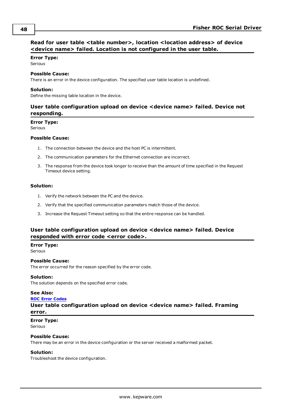## <span id="page-47-0"></span>**Read for user table <table number>, location <location address> of device <device name> failed. Location is not configured in the user table.**

#### **Error Type:**

Serious

#### **Possible Cause:**

There is an error in the device configuration. The specified user table location is undefined.

#### **Solution:**

<span id="page-47-1"></span>Define the missing table location in the device.

## **User table configuration upload on device <device name> failed. Device not responding.**

#### **Error Type:**

Serious

#### **Possible Cause:**

- 1. The connection between the device and the host PC is intermittent.
- 2. The communication parameters for the Ethernet connection are incorrect.
- 3. The response from the device took longer to receive than the amount of time specified in the Request Timeout device setting.

#### **Solution:**

- 1. Verify the network between the PC and the device.
- 2. Verify that the specified communication parameters match those of the device.
- 3. Increase the Request Timeout setting so that the entire response can be handled.

## <span id="page-47-2"></span>**User table configuration upload on device <device name> failed. Device responded with error code <error code>.**

#### **Error Type:**

Serious

#### **Possible Cause:**

The error occurred for the reason specified by the error code.

#### **Solution:**

The solution depends on the specified error code.

#### **See Also:**

#### <span id="page-47-3"></span>**ROC Error [Codes](#page-50-0)**

## **User table configuration upload on device <device name> failed. Framing error.**

## **Error Type:**

Serious

#### **Possible Cause:**

There may be an error in the device configuration or the server received a malformed packet.

#### **Solution:**

Troubleshoot the device configuration.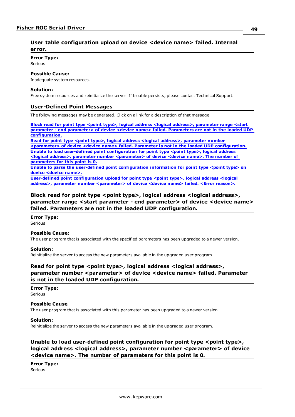## <span id="page-48-0"></span>**User table configuration upload on device <device name> failed. Internal error.**

#### **Error Type:**

Serious

### **Possible Cause:**

Inadequate system resources.

#### **Solution:**

<span id="page-48-1"></span>Free system resources and reinitialize the server. If trouble persists, please contact Technical Support.

### **User-Defined Point Messages**

The following messages may be generated. Click on a link for a description of that message.

**Block read for point type <point type>, logical address <logical address>, [parameter](#page-48-2) range <start parameter - end [parameter>](#page-48-2) of device <device name> failed. Parameters are not in the loaded UDP [configuration.](#page-48-2)**

**Read for point type <point type>, logical address <logical address>, [parameter](#page-48-3) number <parameter> of device <device name> failed. Parameter is not in the loaded UDP [configuration.](#page-48-3) Unable to load user-defined point [configuration](#page-48-4) for point type <point type>, logical address <logical address>, parameter number [<parameter>](#page-48-4) of device <device name>. The number of [parameters](#page-48-4) for this point is 0.**

**Unable to parse the user-defined point [configuration](#page-49-0) information for point type <point type> on device [<device](#page-49-0) name>.**

**User-defined point [configuration](#page-49-1) upload for point type <point type>, logical address <logical address>, parameter number [<parameter>](#page-49-1) of device <device name> failed. <Error reason>.**

## <span id="page-48-2"></span>**Block read for point type <point type>, logical address <logical address>, parameter range <start parameter - end parameter> of device <device name> failed. Parameters are not in the loaded UDP configuration.**

**Error Type: Serious** 

#### **Possible Cause:**

The user program that is associated with the specified parameters has been upgraded to a newer version.

#### **Solution:**

<span id="page-48-3"></span>Reinitialize the server to access the new parameters available in the upgraded user program.

## **Read for point type <point type>, logical address <logical address>, parameter number <parameter> of device <device name> failed. Parameter is not in the loaded UDP configuration.**

## **Error Type:**

**Serious** 

#### **Possible Cause**

The user program that is associated with this parameter has been upgraded to a newer version.

#### **Solution:**

Reinitialize the server to access the new parameters available in the upgraded user program.

## <span id="page-48-4"></span>**Unable to load user-defined point configuration for point type <point type>, logical address <logical address>, parameter number <parameter> of device <device name>. The number of parameters for this point is 0.**

**Error Type:** Serious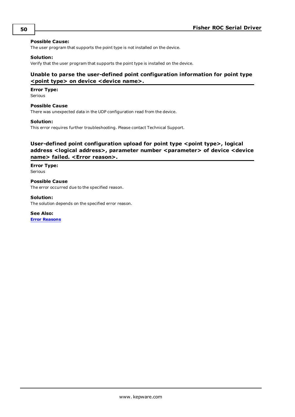#### **Possible Cause:**

The user program that supports the point type is not installed on the device.

#### **Solution:**

<span id="page-49-0"></span>Verify that the user program that supports the point type is installed on the device.

## **Unable to parse the user-defined point configuration information for point type <point type> on device <device name>.**

#### **Error Type:**

Serious

#### **Possible Cause**

There was unexpected data in the UDP configuration read from the device.

#### **Solution:**

This error requires further troubleshooting. Please contact Technical Support.

## <span id="page-49-1"></span>**User-defined point configuration upload for point type <point type>, logical address <logical address>, parameter number <parameter> of device <device name> failed. <Error reason>.**

**Error Type:** Serious

**Possible Cause** The error occurred due to the specified reason.

#### **Solution:**

The solution depends on the specified error reason.

**See Also: Error [Reasons](#page-51-0)**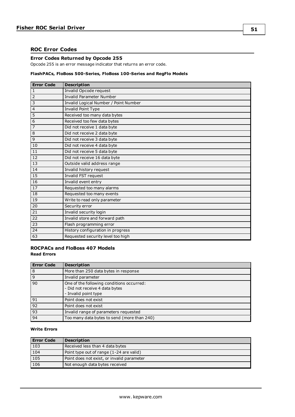## <span id="page-50-0"></span>**ROC Error Codes**

#### **Error Codes Returned by Opcode 255**

Opcode 255 is an error message indicator that returns an error code.

#### **FlashPACs, FloBoss 500-Series, FloBoss 100-Series and RegFlo Models**

| <b>Error Code</b>       | <b>Description</b>                    |  |
|-------------------------|---------------------------------------|--|
| 1                       | <b>Invalid Opcode request</b>         |  |
| $\overline{2}$          | Invalid Parameter Number              |  |
| $\overline{\mathbf{3}}$ | Invalid Logical Number / Point Number |  |
| $\overline{4}$          | Invalid Point Type                    |  |
| 5                       | Received too many data bytes          |  |
| 6                       | Received too few data bytes           |  |
| $\overline{7}$          | Did not receive 1 data byte           |  |
| $\,$ 8 $\,$             | Did not receive 2 data byte           |  |
| $\overline{9}$          | Did not receive 3 data byte           |  |
| 10                      | Did not receive 4 data byte           |  |
| 11                      | Did not receive 5 data byte           |  |
| 12                      | Did not receive 16 data byte          |  |
| 13                      | Outside valid address range           |  |
| 14                      | Invalid history request               |  |
| 15                      | Invalid FST request                   |  |
| 16                      | Invalid event entry                   |  |
| 17                      | Requested too many alarms             |  |
| 18                      | Requested too many events             |  |
| 19                      | Write to read only parameter          |  |
| 20                      | Security error                        |  |
| 21                      | Invalid security login                |  |
| $\overline{22}$         | Invalid store and forward path        |  |
| 23                      | Flash programming error               |  |
| 24                      | History configuration in progress     |  |
| 63                      | Requested security level too high     |  |

## **ROCPACs and FloBoss 407 Models Read Errors**

| <b>Error Code</b> | <b>Description</b>                                                                                  |
|-------------------|-----------------------------------------------------------------------------------------------------|
| 8                 | More than 250 data bytes in response                                                                |
| 9                 | Invalid parameter                                                                                   |
| 90                | One of the following conditions occurred:<br>- Did not receive 4 data bytes<br>- Invalid point type |
| 91                | Point does not exist                                                                                |
| 92                | Point does not exist                                                                                |
| 93                | Invalid range of parameters requested                                                               |
| 94                | Too many data bytes to send (more than 240)                                                         |

### **Write Errors**

| <b>Error Code</b> | <b>Description</b>                         |  |
|-------------------|--------------------------------------------|--|
| 103               | Received less than 4 data bytes            |  |
| 104               | Point type out of range (1-24 are valid)   |  |
| 105               | Point does not exist, or invalid parameter |  |
| 106               | Not enough data bytes received             |  |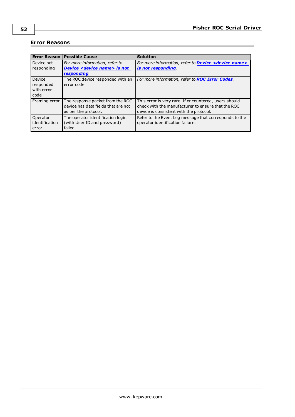## <span id="page-51-0"></span>**Error Reasons**

| <b>Error Reason</b>                       | <b>Possible Cause</b>                                                                           | <b>Solution</b>                                                                                                                                        |
|-------------------------------------------|-------------------------------------------------------------------------------------------------|--------------------------------------------------------------------------------------------------------------------------------------------------------|
| l Device not<br>responding                | For more information, refer to<br><b>Device <device name=""> is not</device></b><br>responding. | For more information, refer to <b>Device <device name=""></device></b><br>is not responding                                                            |
| Device<br>responded<br>with error<br>code | The ROC device responded with an<br>error code.                                                 | For more information, refer to <b>ROC Error Codes</b> .                                                                                                |
| Framing error                             | The response packet from the ROC<br>device has data fields that are not<br>as per the protocol. | This error is very rare. If encountered, users should<br>check with the manufacturer to ensure that the ROC<br>device is consistent with the protocol. |
| Operator<br>identification<br>error       | The operator identification login<br>(with User ID and password)<br>failed.                     | Refer to the Event Log message that corresponds to the<br>operator identification failure.                                                             |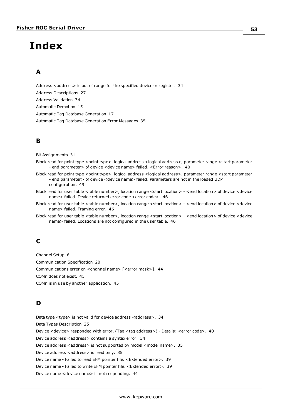# <span id="page-52-0"></span>**Index**

## **A**

Address <address> is out of range for the specified device or register. [34](#page-33-2) Address Descriptions [27](#page-26-0) Address Validation [34](#page-33-1) Automatic Demotion [15](#page-14-1) Automatic Tag Database Generation [17](#page-16-0) Automatic Tag Database Generation Error Messages [35](#page-34-3)

## **B**

Bit Assignments [31](#page-30-2)

- Block read for point type <point type>, logical address <logical address>, parameter range <start parameter - end parameter> of device <device name> failed. <Error reason>. [40](#page-39-0)
- Block read for point type <point type>, logical address <logical address>, parameter range <start parameter - end parameter> of device <device name> failed. Parameters are not in the loaded UDP configuration. [49](#page-48-2)
- Block read for user table <table number>, location range <start location> <end location> of device <device name> failed. Device returned error code <error code>. [46](#page-45-1)
- Block read for user table <table number>, location range <start location> <end location> of device <device name> failed. Framing error. [46](#page-45-2)
- Block read for user table <table number>, location range <start location> <end location> of device <device name> failed. Locations are not configured in the user table. [46](#page-45-3)

## **C**

Channel Setup [6](#page-5-0) Communication Specification [20](#page-19-0) Communications error on <channel name> [<error mask>]. [44](#page-43-5) COMn does not exist. [45](#page-44-0) COMn is in use by another application. [45](#page-44-1)

## **D**

Data type <type> is not valid for device address <address>. [34](#page-33-3) Data Types Description [25](#page-24-0) Device <device> responded with error. (Tag <tag address>) - Details: <error code>. [40](#page-39-1) Device address <address> contains a syntax error. [34](#page-33-4) Device address <address> is not supported by model <model name>. [35](#page-34-0) Device address <address> is read only. [35](#page-34-1) Device name - Failed to read EFM pointer file. <Extended error>. [39](#page-38-0) Device name - Failed to write EFM pointer file. <Extended error>. [39](#page-38-1) Device name <device name> is not responding. [44](#page-43-1)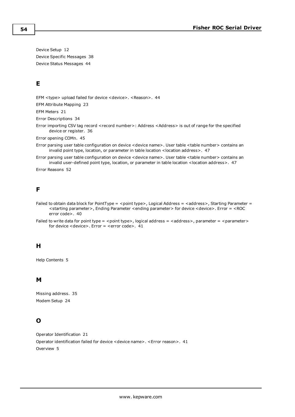Device Setup [12](#page-11-0) Device Specific Messages [38](#page-37-4) Device Status Messages [44](#page-43-0)

## **E**

EFM <type> upload failed for device <device>. <Reason>. [44](#page-43-2)

EFM Attribute Mapping [23](#page-22-0)

EFM Meters [21](#page-20-1)

Error Descriptions [34](#page-33-0)

Error importing CSV tag record <record number>: Address <Address> is out of range for the specified device or register. [36](#page-35-0)

Error opening COMn. [45](#page-44-2)

Error parsing user table configuration on device <device name>. User table <table number> contains an invalid point type, location, or parameter in table location <location address>. [47](#page-46-1)

Error parsing user table configuration on device <device name>. User table <table number> contains an invalid user-defined point type, location, or parameter in table location <location address>. [47](#page-46-0)

Error Reasons [52](#page-51-0)

## **F**

- Failed to obtain data block for PointType = <point type>, Logical Address = <address>, Starting Parameter = <starting parameter>, Ending Parameter <ending parameter> for device <device>. Error = <ROC error code>. [40](#page-39-2)
- Failed to write data for point type = <point type>, logical address = <address>, parameter = <parameter> for device <device>. Error = <error code>. [41](#page-40-0)

## **H**

Help Contents [5](#page-4-0)

## **M**

Missing address. [35](#page-34-2) Modem Setup [24](#page-23-0)

## **O**

Operator Identification [21](#page-20-0) Operator identification failed for device <device name>. <Error reason>. [41](#page-40-1) Overview [5](#page-4-1)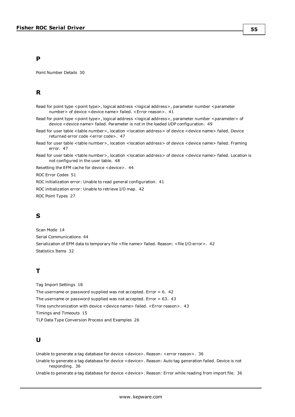## **P**

Point Number Details [30](#page-29-0)

## **R**

- Read for point type <point type>, logical address <logical address>, parameter number <parameter number> of device <device name> failed. <Error reason>. [41](#page-40-2)
- Read for point type <point type>, logical address <logical address>, parameter number <parameter> of device <device name> failed. Parameter is not in the loaded UDP configuration. [49](#page-48-3)
- Read for user table <table number>, location <location address> of device <device name> failed. Device returned error code <error code>. [47](#page-46-2)
- Read for user table <table number>, location <location address> of device <device name> failed. Framing error. [47](#page-46-3)
- Read for user table <table number>, location <location address> of device <device name> failed. Location is not configured in the user table. [48](#page-47-0)

Resetting the EFM cache for device <device>. [44](#page-43-3)

ROC Error Codes [51](#page-50-0)

ROC initialization error: Unable to read general configuration. [41](#page-40-3)

ROC initialization error: Unable to retrieve I/O map. [42](#page-41-0)

ROC Point Types [27](#page-26-1)

## **S**

Scan Mode [14](#page-13-0) Serial Communications [44](#page-43-4) Serialization of EFM data to temporary file <file name> failed. Reason: <file I/O error>. [42](#page-41-1) Statistics Items [32](#page-31-0)

## **T**

Tag Import Settings [18](#page-17-0) The username or password supplied was not accepted. Error  $= 6.42$  $= 6.42$ The username or password supplied was not accepted. Error  $= 63.43$  $= 63.43$ Time synchronization with device <device name> failed. <Error reason>. [43](#page-42-1) Timings and Timeouts [15](#page-14-0) TLP Data Type Conversion Process and Examples [26](#page-25-0)

## **U**

Unable to generate a tag database for device <device>. Reason: <error reason>. [36](#page-35-1)

Unable to generate a tag database for device <device>. Reason: Auto tag generation failed. Device is not responding. [36](#page-35-2)

Unable to generate a tag database for device <device>. Reason: Error while reading from import file. [36](#page-35-3)